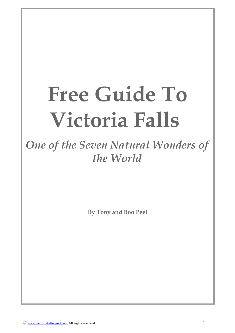# **Free Guide To Victoria Falls**

*One of the Seven Natural Wonders of the World*

**By Tony and Boo Peel**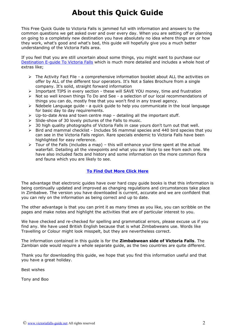# <span id="page-1-0"></span>**About this Quick Guide**

This Free Quick Guide to Victoria Falls is jammed full with information and answers to the common questions we get asked over and over every day. When you are setting off or planning on going to a completely new destination you have absolutely no idea where things are or how they work, what's good and what's bad, this guide will hopefully give you a much better understanding of the Victoria Falls area.

If you feel that you are still uncertain about some things, you might want to purchase our [Destination E-guide To Victoria Falls](http://www.victoriafalls-guide.net/victoria-falls-guide-book.html) which is much more detailed and includes a whole host of extras like;

- ➢ The Activity Fact File a comprehensive information booklet about ALL the activities on offer by ALL of the different tour operators. It's Not a Sales Brochure from a single company. It's solid, straight forward information
- ➢ Important TIPS in every section these will SAVE YOU money, time and frustration
- ➢ Not so well known things To Do and See a selection of our local recommendations of things you can do, mostly free that you won't find in any travel agency.
- ➢ Ndebele Language guide a quick guide to help you communicate in the local language for basic day to day requirements.
- ➢ Up-to-date Area and town centre map detailing all the important stuff.
- ➢ Slide-show of 30 lovely pictures of the Falls to music.
- $\geq$  30 high quality photographs of Victoria Falls in case yours don't turn out that well.
- ➢ Bird and mammal checklist Includes 56 mammal species and 440 bird species that you can see in the Victoria Falls region. Rare specials endemic to Victoria Falls have been highlighted for easy reference.
- $\triangleright$  Tour of the Falls (includes a map) this will enhance your time spent at the actual waterfall. Detailing all the viewpoints and what you are likely to see from each one. We have also included facts and history and some information on the more common flora and fauna which you are likely to see.

#### **[To Find Out More Click Here](http://www.victoriafalls-guide.net/victoria-falls-guide-book.html)**

The advantage that electronic guides have over hard copy guide books is that this information is being continually updated and improved as changing regulations and circumstances take place in Zimbabwe. The version you have downloaded is current, accurate and we are confident that you can rely on the information as being correct and up to date.

The other advantage is that you can print it as many times as you like, you can scribble on the pages and make notes and highlight the activities that are of particular interest to you.

We have checked and re-checked for spelling and grammatical errors, please excuse us if you find any. We have used British English because that is what Zimbabweans use. Words like Travelling or Colour might look misspelt, but they are nevertheless correct.

The information contained in this guide is for the **Zimbabwean side of Victoria Falls**. The Zambian side would require a whole separate guide, as the two countries are quite different.

Thank you for downloading this guide, we hope that you find this information useful and that you have a great holiday.

Best wishes

Tony and Boo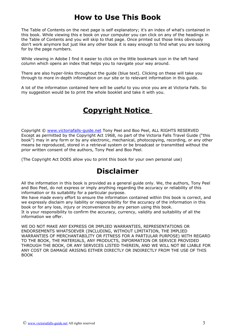# <span id="page-2-0"></span>**How to Use This Book**

The Table of Contents on the next page is self explanatory; it's an index of what's contained in this book. While viewing this e book on your computer you can click on any of the headings in the Table of Contents and you will skip to that page. Once printed out those links obviously don't work anymore but just like any other book it is easy enough to find what you are looking for by the page numbers.

While viewing in Adobe I find it easier to click on the little bookmark icon in the left hand column which opens an index that helps you to navigate your way around.

There are also hyper-links throughout the guide (blue text). Clicking on these will take you through to more in-depth information on our site or to relevant information in this guide.

A lot of the information contained here will be useful to you once you are at Victoria Falls. So my suggestion would be to print the whole booklet and take it with you.

# **Copyright Notice**

Copyright © [www.victoriafalls-guide.net](http://www.victoriafalls-guide.net/) Tony Peel and Boo Peel, ALL RIGHTS RESERVED Except as permitted by the Copyright Act 1968, no part of the Victoria Falls Travel Guide ("this book") may in any form or by any electronic, mechanical, photocopying, recording, or any other means be reproduced, stored in a retrieval system or be broadcast or transmitted without the prior written consent of the authors, Tony Peel and Boo Peel.

(The Copyright Act DOES allow you to print this book for your own personal use)

# **Disclaimer**

All the information in this book is provided as a general guide only. We, the authors, Tony Peel and Boo Peel, do not express or imply anything regarding the accuracy or reliability of this information or its suitability for a particular purpose.

We have made every effort to ensure the information contained within this book is correct, and we expressly disclaim any liability or responsibility for the accuracy of the information in this book or for any loss, injury or inconvenience by any person using this book. It is your responsibility to confirm the accuracy, currency, validity and suitability of all the information we offer.

WE DO NOT MAKE ANY EXPRESS OR IMPLIED WARRANTIES, REPRESENTATIONS OR ENDORSEMENTS WHATSOEVER (INCLUDING, WITHOUT LIMITATION, THE IMPLIED WARRANTIES OF MERCHANTABILITY OR FITNESS FOR A PARTIULAR PURPOSE) WITH REGARD TO THE BOOK, THE MATERIALS, ANY PRODUCTS, INFORMATION OR SERVICE PROVIDED THROUGH THE BOOK, OR ANY SERVICES LISTED THEREIN, AND WE WILL NOT BE LIABLE FOR ANY COST OR DAMAGE ARISING EITHER DIRECTLY OR INDIRECTLY FROM THE USE OF THIS BOOK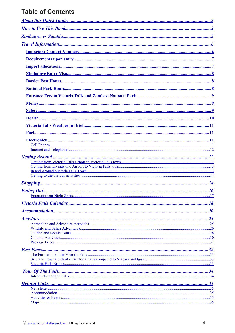# **Table of Contents**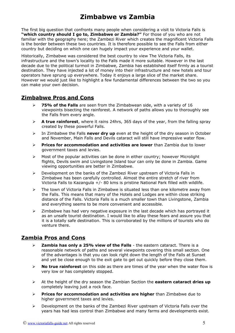## <span id="page-4-0"></span>**Zimbabwe vs Zambia**

The first big question that confronts many people when considering a visit to Victoria Falls is **"which country should I go to, Zimbabwe or Zambia?"** For those of you who are not familiar with the geography here; the Zambezi River which creates the magnificent Victoria Falls is the border between these two countries. It is therefore possible to see the Falls from either country but deciding on which one can hugely impact your experience and your wallet.

Historically, Zimbabwe was considered the best country to view The Victoria Falls, its infrastructure and the town's locality to the Falls made it more suitable. However in the last decade due to the political turmoil in Zimbabwe, Zambia has established itself firmly as a tourist destination. They have injected a lot of money into their infrastructure and new hotels and tour operators have sprung up everywhere. Today it enjoys a large slice of the market share. However we would just like to highlight a few fundamental differences between the two so you can make your own decision.

## **Zimbabwe Pros and Cons**

- ➢ **75% of the Falls** are seen from the Zimbabwean side, with a variety of 16 viewpoints bisecting the rainforest. A network of paths allows you to thoroughly see the Falls from every angle.
- ➢ **A true rainforest**, where it rains 24hrs, 365 days of the year, from the falling spray created by these powerful Falls.
- ➢ In Zimbabwe the Falls **never dry up** even at the height of the dry season in October and November, Main Falls and Devils cataract will still have impressive water flow.
- ➢ **Prices for accommodation and activities are lower** than Zambia due to lower government taxes and levies.
- $\triangleright$  Most of the popular activities can be done in either country; however Microlight flights, Devils swim and Livingstone Island tour can only be done in Zambia. Game viewing opportunities are better in Zimbabwe.
- $\triangleright$  Development on the banks of the Zambezi River upstream of Victoria Falls in Zimbabwe has been carefully controlled. Almost the entire stretch of river from Victoria Falls to Kazangula +/- 80 kms is pristine National Park filled with wildlife.
- $\triangleright$  The town of Victoria Falls in Zimbabwe is situated less than one kilometre away from the Falls. This means that many of the Hotels and Lodges are within close striking distance of the Falls. Victoria Falls is a much smaller town than Livingstone, Zambia and everything seems to be more convenient and accessible.
- $\geq$  Zimbabwe has had very negative exposure in the last decade which has portrayed it as an unsafe tourist destination. I would like to allay these fears and assure you that it is a totally safe destination. This is corroborated by the millions of tourists who do venture there.

## **Zambia Pros and Cons**

- ➢ **Zambia has only a 25% view of the Falls** the eastern cataract. There is a reasonable network of paths and several viewpoints covering this small section. One of the advantages is that you can look right down the length of the Falls at Sunset and yet be close enough to the exit gate to get out quickly before they close them.
- ➢ **No true rainforest** on this side as there are times of the year when the water flow is very low or has completely stopped.
- ➢ At the height of the dry season the Zambian Section the **eastern cataract dries up** completely leaving just a rock face.
- ➢ **Prices for accommodation and activities are higher** than Zimbabwe due to higher government taxes and levies.
- $\triangleright$  Development on the banks of the Zambezi River upstream of Victoria Falls over the years has had less control than Zimbabwe and many farms and developments exist.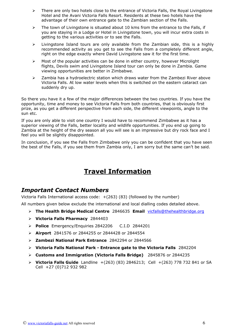- ➢ There are only two hotels close to the entrance of Victoria Falls, the Royal Livingstone Hotel and the Avani Victoria Falls Resort. Residents at these two hotels have the advantage of their own entrance gate to the Zambian section of the Falls.
- $\triangleright$  The town of Livingstone is situated about 10 kms from the entrance to the Falls, if you are staying in a Lodge or Hotel in Livingstone town, you will incur extra costs in getting to the various activities or to see the Falls.
- $\triangleright$  Livingstone Island tours are only available from the Zambian side, this is a highly recommended activity as you get to see the Falls from a completely different angle, right on the edge exactly where David Livingstone saw it for the first time.
- ➢ Most of the popular activities can be done in either country, however Microlight flights, Devils swim and Livingstone Island tour can only be done in Zambia. Game viewing opportunities are better in Zimbabwe.
- ➢ Zambia has a hydroelectric station which draws water from the Zambezi River above Victoria Falls. At low water levels when this is switched on the eastern cataract can suddenly dry up.

So there you have it a few of the major differences between the two countries. If you have the opportunity, time and money to see Victoria Falls from both countries, that is obviously first prize, as you get a different perspective from each side, the different viewpoints, angle to the sun etc.

If you are only able to visit one country I would have to recommend Zimbabwe as it has a superior viewing of the Falls, better locality and wildlife opportunities. If you end up going to Zambia at the height of the dry season all you will see is an impressive but dry rock face and I feel you will be slightly disappointed.

In conclusion, if you see the Falls from Zimbabwe only you can be confident that you have seen the best of the Falls, if you see them from Zambia only, I am sorry but the same can't be said.

# <span id="page-5-1"></span>**Travel Information**

## <span id="page-5-0"></span>*Important Contact Numbers*

Victoria Falls International access code: +(263) (83) (followed by the number)

All numbers given below exclude the international and local dialling codes detailed above.

- ➢ **The Health Bridge Medical Centre** 2846635 **Email** [vicfalls@thehealthbridge.org](mailto:vicfalls@thehealthbridge.org)
- ➢ **Victoria Falls Pharmacy** 2844403
- ➢ **Police** Emergency/Enquiries 2842206 C.I.D 2844201
- ➢ **Airport** 2841576 or 2844255 or 2844428 or 2844554
- ➢ **Zambezi National Park Entrance** 2842294 or 2844566
- ➢ **Victoria Falls National Park Entrance gate to the Victoria Falls** 2842204
- ➢ **Customs and Immigration (Victoria Falls Bridge)** 2845876 or 2844235
- ➢ **Victoria Falls Guide** Landline +(263) (83) 2846213; Cell +(263) 778 732 841 or SA Cell +27 (0)712 932 982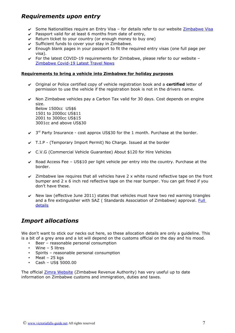## <span id="page-6-1"></span>*Requirements upon entry*

- ► Some Nationalities require an Entry Visa for details refer to our website Zimbabwe Visa
- $\triangleright$  Passport valid for at least 6 months from date of entry,
- $\mathcal V$  Return ticket to your country (or enough money to buy one)
- $\mathsf{\nu}$  Sufficient funds to cover your stay in Zimbabwe.
- $\sim$  Enough blank pages in your passport to fit the required entry visas (one full page per visa).
- $\triangleright$  For the latest COVID-19 requirements for Zimbabwe, please refer to our website [Zimbabwe Covid-19 Latest Travel News](https://www.victoriafalls-guide.net/zimbabwe-covid19-latest-travel-news.html)

#### **Requirements to bring a vehicle into Zimbabwe for holiday purposes**

- ✔ Original or Police certified copy of vehicle registration book and a **certified** letter of permission to use the vehicle if the registration book is not in the drivers name.
- $\vee$  Non Zimbabwe vehicles pay a Carbon Tax valid for 30 days. Cost depends on engine size. Below 1500cc US\$6 1501 to 2000cc US\$11

2001 to 3000cc US\$15 3001cc and above US\$30

- $\sim$  3<sup>rd</sup> Party Insurance cost approx US\$30 for the 1 month. Purchase at the border.
- $\sqrt{ }$  T.I.P (Temporary Import Permit) No Charge. Issued at the border
- ✔ C.V.G (Commercial Vehicle Guarantee) About \$120 for Hire Vehicles
- $\triangleright$  Road Access Fee US\$10 per light vehicle per entry into the country. Purchase at the border.
- $\lambda$  Zimbabwe law requires that all vehicles have 2 x white round reflective tape on the front bumper and 2 x 6 inch red reflective tape on the rear bumper. You can get fined if you don't have these.
- $\checkmark$  New law (effective June 2011) states that vehicles must have two red warning triangles and a fire extinguisher with SAZ (Standards Association of Zimbabwe) approval. Full [details](http://www.victoriafalls-guide.net/new-zim-vehicle-regulations-to-apply-from-1st-june-2011.html)

## <span id="page-6-0"></span>*Import allocations*

We don't want to stick our necks out here, so these allocation details are only a guideline. This is a bit of a grey area and a lot will depend on the customs official on the day and his mood.

- Beer reasonable personal consumption
- Wine 5 litres
- Spirits reasonable personal consumption
- Meat 25 kgs
- Cash US\$ 5000.00

The official [Zimra Website](http://www.zimra.co.zw/) (Zimbabwe Revenue Authority) has very useful up to date information on Zimbabwe customs and immigration, duties and taxes.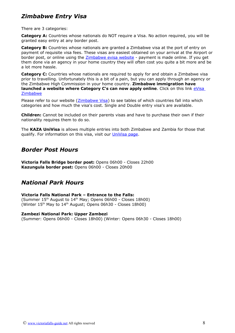## <span id="page-7-2"></span>*Zimbabwe Entry Visa*

There are 3 categories:

**Category A:** Countries whose nationals do NOT require a Visa. No action required, you will be granted easy entry at any border post.

**Category B:** Countries whose nationals are granted a Zimbabwe visa at the port of entry on payment of requisite visa fees. These visas are easiest obtained on your arrival at the Airport or border post, or online using the [Zimbabwe evisa website](https://www.evisa.gov.zw/) - payment is made online. If you get them done via an agency in your home country they will often cost you quite a bit more and be a lot more hassle.

**Category C:** Countries whose nationals are required to apply for and obtain a Zimbabwe visa prior to travelling. Unfortunately this is a bit of a pain, but you can apply through an agency or the Zimbabwe High Commission in your home country. **Zimbabwe immigration have launched a website where Category C's can now apply online**. Click on this link *eVisa* [Zimbabwe](https://www.evisa.gov.zw/)

Please refer to our website (**Zimbabwe Visa**) to see tables of which countries fall into which categories and how much the visa's cost. Single and Double entry visa's are available.

**Children:** Cannot be included on their parents visas and have to purchase their own if their nationality requires them to do so.

The **KAZA UniVisa** is allows multiple entries into both Zimbabwe and Zambia for those that qualify. For information on this visa, visit our [UniVisa page.](https://www.victoriafalls-guide.net/univisa-zimbabwe-zambia.html)

## <span id="page-7-1"></span>*Border Post Hours*

**Victoria Falls Bridge border post:** Opens 06h00 - Closes 22h00 **Kazungula border post:** Opens 06h00 - Closes 20h00

## <span id="page-7-0"></span>*National Park Hours*

#### **Victoria Falls National Park – Entrance to the Falls:**

(Summer 15th August to 14th May; Opens 06h00 - Closes 18h00) (Winter  $15<sup>th</sup>$  May to  $14<sup>th</sup>$  August; Opens 06h30 - Closes 18h00)

#### **Zambezi National Park: Upper Zambezi**

(Summer: Opens 06h00 - Closes 18h00) (Winter: Opens 06h30 - Closes 18h00)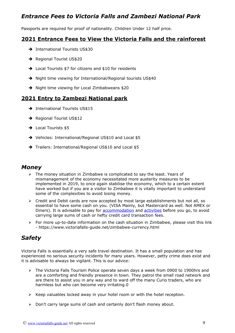## <span id="page-8-2"></span>*Entrance Fees to Victoria Falls and Zambezi National Park*

Passports are required for proof of nationality. Children Under 12 half price.

## **2021 Entrance Fees to View the Victoria Falls and the rainforest**

- → International Tourists US\$30
- → Regional Tourist US\$20
- ➔ Local Tourists \$7 for citizens and \$10 for residents
- → Night time viewing for International/Regional tourists US\$40
- → Night time viewing for Local Zimbabweans \$20

## **2021 Entry to Zambezi National park**

- → International Tourists US\$15
- → Regional Tourist US\$12
- → Local Tourists \$5
- ➔ Vehicles: International/Regional US\$10 and Local \$5
- → Trailers: International/Regional US\$10 and Local \$5

## <span id="page-8-1"></span>*Money*

- $\triangleright$  The money situation in Zimbabwe is complicated to say the least. Years of mismanagement of the economy necessitated more austerity measures to be implemented in 2019, to once again stabilise the economy, which to a certain extent have worked but if you are a visitor to Zimbabwe it is vitally important to understand some of the complexities to avoid losing money.
- $\triangleright$  Credit and Debit cards are now accepted by most large establishments but not all, so essential to have some cash on you. (VISA Mainly, but Mastercard as well. Not AMEX or Diners). It is advisable to pay for [accommodation](http://www.victoriafalls-guide.net/victoria-falls-accommodation.html) and [activities](http://www.victoriafalls-guide.net/victoria-falls-activities.html) before you go, to avoid carrying large sums of cash or hefty credit card transaction fees.
- ➢ For more up-to-date information on the cash situation in Zimbabwe, please visit this link - https://www.victoriafalls-guide.net/zimbabwe-currency.html

## <span id="page-8-0"></span>*Safety*

Victoria Falls is essentially a very safe travel destination. It has a small population and has experienced no serious security incidents for many years. However, petty crime does exist and it is advisable to always be vigilant. This is our advice:

- ➢ The Victoria Falls Tourism Police operate seven days a week from 0900 to 1900hrs and are a comforting and friendly presence in town. They patrol the small road network and are there to assist you in any way and to ward off the many Curio traders, who are harmless but who can become very irritating.0
- $\triangleright$  Keep valuables locked away in your hotel room or with the hotel reception.
- ➢ Don't carry large sums of cash and certainly don't flash money about.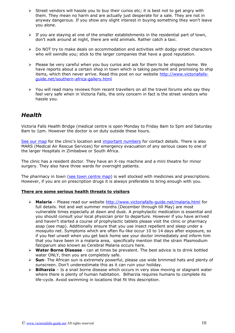- ➢ Street vendors will hassle you to buy their curios etc; it is best not to get angry with them. They mean no harm and are actually just desperate for a sale. They are not in anyway dangerous. If you show any slight interest in buying something they won't leave you alone.
- $\triangleright$  If you are staying at one of the smaller establishments in the residential part of town, don't walk around at night, there are wild animals. Rather catch a taxi.
- ➢ Do NOT try to make deals on accommodation and activities with dodgy street characters who will swindle you; stick to the larger companies that have a good reputation.
- $\triangleright$  Please be very careful when you buy curios and ask for them to be shipped home. We have reports about a certain shop in town which is taking payment and promising to ship items, which then never arrive. Read this post on our website [http://www.victoriafalls](http://www.victoriafalls-guide.net/southern-africa-gallery.html)[guide.net/southern-africa-gallery.html](http://www.victoriafalls-guide.net/southern-africa-gallery.html)
- $\geq$  You will read many reviews from recent travellers on all the travel forums who say they feel very safe when in Victoria Falls, the only concern in fact is the street vendors who hassle you.

## <span id="page-9-0"></span>*Health*

Victoria Falls Health Bridge (medical centre is open Monday to Friday 8am to 5pm and Saturday 8am to 1pm. However the doctor is on duty outside these hours.

<span id="page-9-1"></span>[See our map](http://www.victoriafalls-guide.net/map-victoria-falls.html) for the clinic's location and [important numbers](#page-9-1) for contact details. There is also MARS (Medical Air Rescue Services) for emergency evacuation of any serious cases to one of the larger Hospitals in Zimbabwe or South Africa.

The clinic has a resident doctor. They have an X-ray machine and a mini theatre for minor surgery. They also have three wards for overnight patients.

The pharmacy in town [\(see town centre map\)](http://www.victoriafalls-guide.net/map-victoria-falls.html) is well stocked with medicines and prescriptions. However, if you are on prescription drugs it is always preferable to bring enough with you.

#### **There are some serious health threats to visitors**

- ➢ **Malaria** Please read our website<http://www.victoriafalls-guide.net/malaria.html>for full details. Hot and wet summer months (December through till May) are most vulnerable times especially at dawn and dusk. A prophylactic medication is essential and you should consult your local physician prior to departure. However if you have arrived and haven't started a course of prophylactic tablets please visit the clinic or pharmacy asap (see map). Additionally ensure that you use insect repellent and sleep under a mosquito net. Symptoms which are often flu-like occur 10 to 14 days after exposure, so if you feel unwell when you get back home see your doctor immediately and inform him that you have been in a malaria area, specifically mention that the strain Plasmodium falciparum also known as Cerebral Malaria occurs here.
- ➢ **Water Borne Disease**  can at times be prevalent. The best advice is to drink bottled water ONLY, then you are completely safe.
- ➢ **Sun** The African sun is extremely powerful, please use wide brimmed hats and plenty of sunscreen. Don't underestimate this as it can ruin your holiday.
- ➢ **Bilharzia** Is a snail borne disease which occurs in very slow moving or stagnant water where there is plenty of human habitation. Bilharzia requires humans to complete its life-cycle. Avoid swimming in locations that fit this description.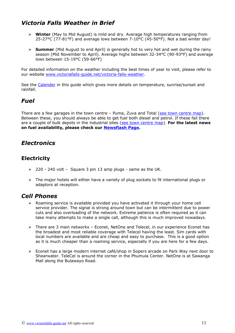## <span id="page-10-3"></span>*Victoria Falls Weather in Brief*

- ➢ **Winter** (May to Mid August) is mild and dry. Average high temperatures ranging from 25-27°C (77-81°F) and average lows between 7-10°C (45-50°F). Not a bad winter day!
- ➢ **Summer** (Mid August to end April) is generally hot to very hot and wet during the rainy season (Mid November to April). Average highs between 32-34°C (90-93°F) and average lows between 15-19°C (59-66°F)

For detailed information on the weather including the best times of year to visit, please refer to our website [www.victoriafalls-guide.net/victoria-falls-weather.](http://www.victoriafalls-guide.net/victoria-falls-weather.html)

See the [Calender](#page-17-0) in this guide which gives more details on temperature, sunrise/sunset and rainfall.

## <span id="page-10-2"></span>*Fuel*

There are a few garages in the town centre  $-$  Puma, Zuva and Total [\(see town centre map\)](http://www.victoriafalls-guide.net/map-victoria-falls.html). Between these, you should always be able to get fuel both diesel and petrol. If these fail there are a couple of bulk depots in the industrial sites [\(see town centre map\)](http://www.victoriafalls-guide.net/map-victoria-falls.html). **For the latest news on fuel availability, please check our [Newsflash Page.](https://www.victoriafalls-guide.net/newsflash.html)**

## <span id="page-10-1"></span>*Electronics*

## **Electricity**

- $\geq$  220 240 volt Square 3 pin 13 amp plugs same as the UK.
- $\triangleright$  The major hotels will either have a variety of plug sockets to fit international plugs or adaptors at reception.

## <span id="page-10-0"></span>*Cell Phones*

- $\triangleright$  Roaming service is available provided you have activated it through your home cell service provider. The signal is strong around town but can be intermittent due to power cuts and also overloading of the network. Extreme patience is often required as it can take many attempts to make a single call, although this is much improved nowadays.
- ➢ There are 3 main networks Econet, NetOne and Telecel, in our experience Econet has the broadest and most reliable coverage with Telecel having the least. Sim cards with local numbers are available and are cheap and easy to purchase. This is a good option as it is much cheaper than a roaming service, especially if you are here for a few days.
- ➢ Econet has a large modern internet café/shop in Sopers arcade on Park Way next door to Shearwater. TeleCel is around the corner in the Phumula Center. NetOne is at Sawanga Mall along the Bulawayo Road.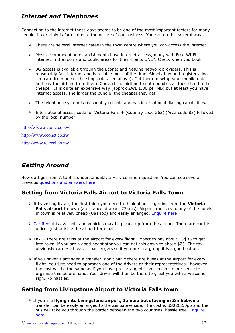## <span id="page-11-3"></span>*Internet and Telephones*

Connecting to the internet these days seems to be one of the most important factors for many people, it certainly is for us due to the nature of our business. You can do this several ways.

- ➢ There are several internet cafés in the town centre where you can access the internet.
- ➢ Most accommodation establishments have internet access, many with Free Wi-Fi internet in the rooms and public areas for their clients ONLY. Check when you book.
- $\geq$  3G access is available through the Econet and NetOne network providers. This is reasonably fast internet and is reliable most of the time. Simply buy and register a local sim card from one of the shops (detailed above). Get them to setup your mobile data and buy the airtime from them. Convert the airtime to data bundles as these tend to be cheaper. It is quite an expensive way (approx ZWL 1.30 per MB) but at least you have internet access. The larger the bundle, the cheaper they get.
- $\triangleright$  The telephone system is reasonably reliable and has international dialling capabilities.
- ➢ International access code for Victoria Falls + (Country code 263) (Area code 83) followed by the local number.

[http://www.netone.co.zw](http://www.netone.co.zw/index.php?option=com_content&view=article&id=36&Itemid=69) [http://www.econet.co.zw](http://www.econet.co.zw/#services) [http://www.telecel.co.zw](http://www.telecel.co.zw/)

## <span id="page-11-2"></span>*Getting Around*

How do I get from A to B is understandably a very common question. You can see several previous [questions and answers here.](http://www.victoriafalls-guide.net/victoria-falls-travel-related-questions.html)

## <span id="page-11-1"></span>**Getting from Victoria Falls Airport to Victoria Falls Town**

- ➢ If travelling by air, the first thing you need to think about is getting from the **Victoria Falls airport** to town (a distance of about 22kms). Airport transfers to any of the hotels in town is relatively cheap (U\$14pp) and easily arranged. **Enquire here**
- $\triangleright$  [Car Rental](http://www.victoriafalls-guide.net/car-rental-victoria-falls.html) is available and vehicles may be picked up from the airport. There are car hire offices just outside the airport terminal.
- ➢ Taxi There are taxis at the airport for every flight. Expect to pay about US\$35 to get into town, if you are a good negotiator you can get this down to about \$25. The taxi obviously carries at least 4 passengers so if you are in a group it is a good option.
- ➢ If you haven't arranged a transfer, don't panic there are buses at the airport for every flight. You just need to approach one of the drivers or their representatives, however the cost will be the same as if you have pre-arranged it so it makes more sense to organise this before hand. Your driver will then be there to greet you with a welcome sign. No hassles.

## <span id="page-11-0"></span>**Getting from Livingstone Airport to Victoria Falls town**

➢ If you are **flying into Livingstone airport, Zambia but staying in Zimbabwe** a transfer can be easily arranged to the Zimbabwe side. The cost is US\$26.50pp and the bus will take you through the border between the two countries, hassle free. Enquire [here](http://www.victoriafalls-guide.net/booking-enquiry-form.html)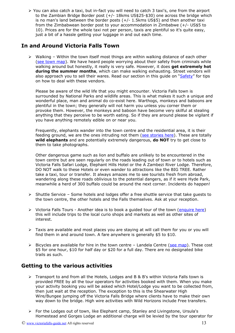➢ You can also catch a taxi, but in-fact you will need to catch 3 taxi's, one from the airport to the Zambian Bridge Border post (+/- 18kms US\$25-\$30) one across the bridge which is no man's land between the border posts (+/- 1.5kms US\$5) and then another taxi from the Zimbabwean border post to your accommodation in Zimbabwe (+/- US\$5 to 10). Prices are for the whole taxi not per person, taxis are plentiful so it's quite easy, just a bit of a hassle getting your luggage in and out each time.

## <span id="page-12-1"></span>**In and Around Victoria Falls Town**

 $\triangleright$  Walking – Within the town itself most things are within walking distance of each other [\(see town map\)](http://www.victoriafalls-guide.net/map-victoria-falls.html). We have heard people worrying about their safety from criminals while walking around but honestly, it really is very safe. However, it does **get extremely hot during the summer months**, which can make walking exhausting. Street vendors will also approach you to sell their wares. Read our section in this guide on ["Safety"](#page-8-0) for tips on how to deal with these vendors.

Please be aware of the wild life that you might encounter. Victoria Falls town is surrounded by National Parks and wildlife areas. This is what makes it such a unique and wonderful place, man and animal do co-exist here. Warthogs, monkeys and baboons are plentiful in the town; they generally will not harm you unless you corner them or provoke them. However, the monkeys and baboon have become very skilful at stealing anything that they perceive to be worth eating. So if they are around please be vigilant if you have anything remotely edible on or near you.

Frequently, elephants wander into the town centre and the residential area, it is their feeding ground, we are the ones intruding not them [\(see stories here\)](http://www.victoriafalls-guide.net/on-the-elephant-frontline.html). These are totally **wild elephants** and are potentially extremely dangerous, **do NOT** try to get close to them to take photographs.

Other dangerous game such as lion and buffalo are unlikely to be encountered in the town centre but are seen regularly on the roads leading out of town or to hotels such as Victoria Falls Safari Lodge, Elephant Hills Hotel or the A Zambezi River Lodge. Therefore, DO NOT walk to these Hotels or even wander to attractions like the BIG TREE. Rather take a taxi, tour or transfer. It always amazes me to see tourists fresh from abroad, wandering along these roads oblivious to the potential dangers, as if it were Hyde Park, meanwhile a herd of 300 buffalo could be around the next corner. Incidents do happen!

- ➢ Shuttle Service Some hotels and lodges offer a free shuttle service that take guests to the town centre, the other hotels and the Falls themselves. Ask at your reception.
- ➢ Victoria Falls Tours Another idea is to book a guided tour of the town [\(enquire here\)](http://www.victoriafalls-guide.net/booking-enquiry-form.html) this will include trips to the local curio shops and markets as well as other sites of interest.
- $\triangleright$  Taxis are available and most places you are staying at will call them for you or you will find them in and around town. A fare anywhere is generally \$5 to \$10.
- $\triangleright$  Bicycles are available for hire in the town centre Landela Centre [\(see map\)](http://www.victoriafalls-guide.net/map-victoria-falls.html). These cost \$5 for one hour, \$10 for half day or \$20 for a full day. There are no designated bike trails as such.

## <span id="page-12-0"></span>**Getting to the various activities**

- $\triangleright$  Transport to and from all the Hotels, Lodges and B & B's within Victoria Falls town is provided FREE by all the tour operators for activities booked with them. When you make your activity booking you will be asked which Hotel/Lodge you want to be collected from, then just wait at the reception. The exception to this is the Shearwater High Wire/Bungee jumping off the Victoria Falls Bridge where clients have to make their own way down to the bridge. High wire activities with Wild Horizons include Free transfers.
- ➢ For the Lodges out of town, like Elephant camp, Stanley and Livingstone, Ursula's Homestead and Gorges Lodge an additional charge will be levied by the tour operator for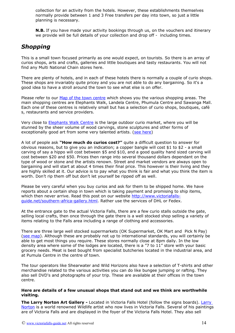collection for an activity from the hotels. However, these establishments themselves normally provide between 1 and 3 Free transfers per day into town, so just a little planning is necessary.

**N.B.** If you have made your activity bookings through us, on the vouchers and itinerary we provide will be full details of your collection and drop off - including times.

## <span id="page-13-0"></span>*Shopping*

This is a small town focused primarily as one would expect, on tourists. So there is an array of curios shops, arts and crafts, galleries and little boutiques and tasty restaurants. You will not find any Multi National Chain stores here.

There are plenty of hotels, and in each of these hotels there is normally a couple of curio shops. These shops are invariably quite pricey and you are not able to do any bargaining. So it's a good idea to have a stroll around the town to see what else is on offer.

Please refer to our [Map of the town centre](http://www.victoriafalls-guide.net/map-victoria-falls.html) which shows you the various shopping areas. The main shopping centres are Elephants Walk, Landela Centre, Phumula Centre and Sawanga Mall. Each one of these centres is relatively small but has a selection of curio shops, boutiques, café s, restaurants and service providers.

Very close to [Elephants Walk Centre](http://www.victoriafalls-guide.net/elephant) is the large outdoor curio market, where you will be stunned by the sheer volume of wood carvings, stone sculptures and other forms of exceptionally good art from some very talented artists. [\(see here\)](http://www.victoriafalls-guide.net/zimbabwe-art.html)

A lot of people ask **"How much do curios cost?"** quite a difficult question to answer for obvious reasons, but to give you an indication; a copper bangle will cost \$1 to \$2 - a small carving of say a hippo will cost between \$5 and \$10, and a good quality hand sized carving will cost between \$20 and \$50. Prices then range into several thousand dollars dependant on the type of wood or stone and the artists renown. Street and market vendors are always open to bargaining and will start at about 4 times their final price. This however is their living and they are highly skilled at it. Our advice is to pay what you think is fair and what you think the item is worth. Don't rip them off but don't let yourself be ripped off as well.

Please be very careful when you buy curios and ask for them to be shipped home. We have reports about a certain shop in town which is taking payment and promising to ship items, which then never arrive. Read this post on our website [http://www.victoriafalls](http://www.victoriafalls-guide.net/southern-africa-gallery.html)[guide.net/southern-africa-gallery.html.](http://www.victoriafalls-guide.net/southern-africa-gallery.html) Rather use the services of DHL or Fedex.

At the entrance gate to the actual Victoria Falls, there are a few curio stalls outside the gate, selling local crafts, then once through the gate there is a well stocked shop selling a variety of items relating to the Falls area including a range of clothing and accessories.

There are three large well stocked supermarkets (OK Supermarket, OK Mart and Pick N Pay) [\(see map\)](http://www.victoriafalls-guide.net/map-victoria-falls.html). Although these are probably not up to international standards, you will certainly be able to get most things you require. These stores normally close at 8pm daily. In the low density area where some of the lodges are located, there is a "7 to 11" store with your basic grocery needs. Meat is best bought from specialist butcheries located in the industrial area, and at Pumula Centre in the centre of town.

The tour operators like Shearwater and Wild Horizons also have a selection of T-shirts and other merchandise related to the various activities you can do like bungee jumping or rafting. They also sell DVD's and photographs of your trip. These are available at their offices in the town centre.

#### **Here are details of a few unusual shops that stand out and we think are worthwhile visiting.**

**The Larry Norton Art Gallery -** Located in Victoria Falls Hotel (follow the signs boards). [Larry](http://www.victoriafalls-guide.net/larry-norton.html)  [Norton](http://www.victoriafalls-guide.net/larry-norton.html) is a world renowned Wildlife artist who now lives in Victoria Falls. Several of his paintings are of Victoria Falls and are displayed in the foyer of the Victoria Falls Hotel. They also sell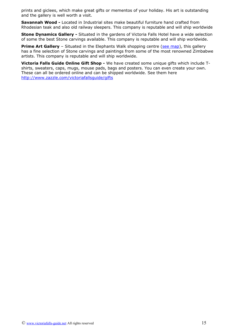prints and giclees, which make great gifts or mementos of your holiday. His art is outstanding and the gallery is well worth a visit.

**Savannah Wood -** Located in Industrial sites make beautiful furniture hand crafted from Rhodesian teak and also old railway sleepers. This company is reputable and will ship worldwide

**Stone Dynamics Gallery -** Situated in the gardens of Victoria Falls Hotel have a wide selection of some the best Stone carvings available. This company is reputable and will ship worldwide.

**Prime Art Gallery** – Situated in the Elephants Walk shopping centre [\(see map\)](http://www.victoriafalls-guide.net/map-victoria-falls.html), this gallery has a fine selection of Stone carvings and paintings from some of the most renowned Zimbabwe artists. This company is reputable and will ship worldwide.

**Victoria Falls Guide Online Gift Shop -** We have created some unique gifts which include Tshirts, sweaters, caps, mugs, mouse pads, bags and posters. You can even create your own. These can all be ordered online and can be shipped worldwide. See them here <http://www.zazzle.com/victoriafallsguide/gifts>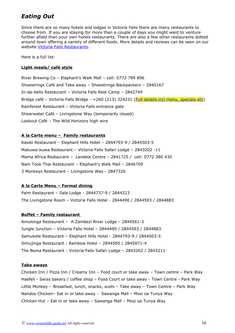## <span id="page-15-0"></span>*Eating Out*

Since there are so many hotels and lodges in Victoria Falls there are many restaurants to choose from. If you are staying for more than a couple of days you might want to venture further afield than your own hotels restaurants. There are also a few other restaurants dotted around town offering a variety of different foods. More details and reviews can be seen on our website [Victoria Falls Restaurants.](http://www.victoriafalls-guide.net/victoria-falls-restaurants.html)

Here is a full list:

#### **Light meals/ café style**

River Brewing Co – Elephant's Walk Mall – cell: 0773 799 896 Shoestrings Café and Take away – Shoestrings Backpackers – 2840167 In-da-belly Restaurant – Victoria Falls Rest Camp – 2842749 Bridge café - Victoria Falls Bridge - +260 (213) 324231 [\(Full details incl menu, specials etc\)](http://www.victoriafalls-guide.net/bridge-cafe.html) Rainforest Restaurant – Victoria Falls entrance gate Shearwater Café – Livingstone Way (temporarily closed) Lookout Café – The Wild Horizons high wire

#### **A la Carte menu – Family restaurants**

Kasibi Restaurant – Elephant Hills Hotel – 2844793-9 / 2844503-5 Makuwa-kuwa Restaurant – Victoria Falls Safari Lodge – 2843202 -11 Mama Africa Restaurant – Landela Centre – 2841725 / cell: 0772 380 430 Nam Took Thai Restaurant – Elephant's Walk Mall – 2846709 3 Monkeys Restaurant – Livingstone Way - 2847326

#### **A la Carte Menu – Formal dining**

Palm Restaurant – Ilala Lodge - 2844737-9 / 2844223 The Livingstone Room – Victoria Falls Hotel - 2844490 / 2844593 / 2844883

#### **Buffet – Family restaurant**

Amulonga Restaurant – A Zambezi River Lodge – 2844561-3 Jungle Junction – Victoria Falls Hotel – 2844490 / 2844593 / 2844883 Samukele Restaurant – Elephant Hills Hotel - 2844793-9 / 2844503-5 Simujinga Restaurant - Rainbow Hotel – 2844585 / 2845871-4 The Boma Restaurant - Victoria Falls Safari Lodge – 2843202 / 2843211

#### **Take aways**

Chicken Inn / Pizza Inn / Creamy Inn – Food court or take away – Town centre – Park Way Haefeli - Swiss bakery / coffee shop – Food Court or take away - Town Centre - Park Way Little Monkey – Breakfast, lunch, snacks, sushi – Take away – Town Centre – Park Way Nandos Chicken– Eat in or take away - Sawanga Mall – Mosi oa Tunya Way Chicken Hut – Eat in or take away – Sawanga Mall – Mosi oa Tunya Way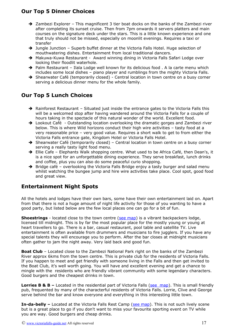## **Our Top 5 Dinner Choices**

- ➔ Zambezi Explorer This magnificent 3 tier boat docks on the banks of the Zambezi river after completing its sunset cruise. Then from 7pm onwards it servers platters and main courses on the signature deck under the stars. This is a little known experience and one that truly should not be missed, especially on moonlit evenings. Requires a taxi or transfer
- → Jungle Junction Superb buffet dinner at the Victoria Falls Hotel. Huge selection of mouthwatering dishes. Entertainment from local traditional dancers.
- → Makuwa-Kuwa Restaurant Award winning dining in Victoria Falls Safari Lodge over looking their floodlit waterhole.
- ➔ Palm Restaurant Ilala Lodge well known for its delicious food . A la carte menu which includes some local dishes – piano player and rumblings from the mighty Victoria Falls.
- → Shearwater Café (temporarily closed) Central location in town centre on a busy corner serving a delicious dinner menu for the whole family.

## **Our Top 5 Lunch Choices**

- → Rainforest Restaurant Situated just inside the entrance gates to the Victoria Falls this will be a welcomed stop after having wandered around the Victoria Falls for a couple of hours taking in the spectacle of this natural wonder of the world. Excellent food.
- → Lookout Café Outstanding location overlooking the dramatic gorges and Zambezi river below. This is where Wild horizons conduct their high wire activities – tasty food at a very reasonable price – very good value. Requires a short walk to get to from either the Victoria Falls entrance gate, Kingdom Hotel or Victoria Falls Hotel.
- → Shearwater Café (temporarily closed) Central location in town centre on a busy corner serving a really tasty light food menu.
- → Ellie Cafe Elephants Walk shopping centre. What used to be Africa Café, then Dean's, it is a nice spot for an unforgettable dining experience. They serve breakfast, lunch drinks and coffee, plus you can also do some peaceful curio shopping.
- → Bridge café overlooking the Victoria Falls Bridge enjoy a tasty burger and salad menu whilst watching the bungee jump and hire wire activities take place. Cool spot, good food and great view.

## <span id="page-16-0"></span>**Entertainment Night Spots**

All the hotels and lodges have their own bars, some have their own entertainment laid on. Apart from that there is not a huge amount of night life activity for those of you wanting to have a good party, but listed below are the few local places one can go for a bit of fun.

**Shoestrings** - located close to the town centre [\(see map\)](http://www.victoriafalls-guide.net/map-victoria-falls.html) is a vibrant backpackers lodge, licensed till midnight. This is by far the most popular place for the mostly young or young at heart travellers to go. There is a bar, casual restaurant, pool table and satellite TV. Live entertainment is often available from drummers and musicians to fire jugglers. If you have any special talents they will encourage you to perform. After the bar closes at midnight musicians often gather to jam the night away. Very laid back and good fun.

**Boat Club** – Located close to the Zambezi National Park right on the banks of the Zambezi River approx 6kms from the town centre. This is private club for the residents of Victoria Falls. If you happen to meet and get friendly with someone living in the Falls and then get invited to the Boat Club, it's well worth going. You will have and excellent evening and get a chance to mingle with the residents who are friendly vibrant community with some legendary characters. Good burgers and the cheapest drinks in town.

**Lorries B & B –** Located in the residential part of Victoria Falls [\(see map\)](http://www.victoriafalls-guide.net/map-victoria-falls.html). This is small friendly pub, frequented by many of the characterful residents of Victoria Falls. Lorrie, Clive and George serve behind the bar and know everyone and everything in this interesting little town.

**In-da-belly –** Located at the Victoria Falls Rest Camp [\(see map\)](http://www.victoriafalls-guide.net/map-victoria-falls.html). This is not such lively scene but is a great place to go if you don't want to miss your favourite sporting event on TV while you are way. Good burgers and cheap drinks.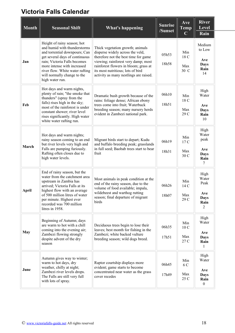# <span id="page-17-0"></span>**Victoria Falls Calendar**

| <b>Month</b> | <b>Seasonal Shift</b>                                                                                                                                                                                                                                                              | <b>What's happening</b>                                                                                                                                                                                                                                                     | <b>Sunrise</b><br>/Sunset | Ave<br><b>Temp</b><br>$\mathbf C$     | <b>River</b><br>Level<br>Rain                                   |
|--------------|------------------------------------------------------------------------------------------------------------------------------------------------------------------------------------------------------------------------------------------------------------------------------------|-----------------------------------------------------------------------------------------------------------------------------------------------------------------------------------------------------------------------------------------------------------------------------|---------------------------|---------------------------------------|-----------------------------------------------------------------|
| Jan          | Height of rainy season; hot<br>and humid with thunderstorms<br>and torrential downpours; Can<br>get several days of continuous<br>rain; Victoria Falls becomes<br>more intense with increased<br>river flow. White water rafting<br>will normally change to the<br>high water run. | Thick vegetation growth; animals<br>disperse widely across the veld,<br>therefore not the best time for game<br>viewing; rainforest very damp; most<br>rainforest flowers in bloom; grass at<br>its most nutritious; lots of bird<br>activity as many nestlings are raised. | 05h53<br>18h58            | Min<br>18 C<br>Max<br>30 C            | Medium<br>to Low<br>Ave<br>Days<br>Rain<br>14                   |
| Feb          | Hot days and warm nights,<br>plenty of rain; "the smoke that<br>thunders" (spray from the<br>falls) rises high in the sky;<br>most of the rainforest is under<br>constant shower; river level<br>rises significantly. High water<br>white water rafting run.                       | Dramatic bush growth because of the<br>rains: foliage dense; African ebony<br>trees come into fruit; Waterbuck<br>breeding season; many nursery herds<br>evident in Zambezi national park.                                                                                  | 06h10<br>18h51            | Min<br>18 C<br>Max<br>29 C            | High<br>Water<br>Ave<br><b>Days</b><br>Rain<br>10               |
| March        | Hot days and warm nights;<br>rainy season coming to an end<br>but river levels very high and<br>Falls are pumping furiously.<br>Rafting often closes due to<br>high water levels.                                                                                                  | Migrant birds start to depart; Kudu<br>and buffalo breeding peak; grasslands<br>in full seed; Baobab trees start to bear<br>fruit                                                                                                                                           | 06h19<br>18h31            | Min<br>17 C<br>Max<br>30 <sub>C</sub> | High<br>Water<br>peak<br>Ave<br>Days<br>Rain<br>7               |
| April        | End of rainy season, but the<br>water from the catchment area<br>upstream in Zambia has<br>arrived; Victoria Falls at its<br>highest flow with an average<br>of 500 million litres of water<br>per minute. Highest ever<br>recorded was 700 million<br>litres in 1958.             | Most animals in peak condition at the<br>end of the rainy season, due to the<br>volume of food available; impala,<br>wildebeest and warthog rutting<br>season; final departure of migrant<br>birds                                                                          | 06h26<br>18h07            | Min<br>14C<br>Max<br>29 C             | High<br>Water<br>Peak<br>Ave<br><b>Days</b><br>Rain<br>2        |
| May          | Beginning of Autumn; days<br>are warm to hot with a chill<br>coming into the evening air;<br>Zambezi flowing strongly<br>despite advent of the dry<br>season                                                                                                                       | Deciduous trees begin to lose their<br>leaves; best month for fishing in the<br>Zambezi; white backed vulture<br>breeding season; wild dogs breed.                                                                                                                          | 06h35<br>17h51            | Min<br>10 <sub>C</sub><br>Max<br>27 C | High<br>Water<br>Ave<br><b>Days</b><br>Rain<br>1                |
| June         | Autumn gives way to winter;<br>warm to hot days, dry<br>weather, chilly at night;<br>Zambezi river levels drops.<br>The Falls are still very full<br>with lots of spray.                                                                                                           | Raptor courtship displays more<br>evident; game starts to become<br>concentrated near water as the grass<br>cover recedes                                                                                                                                                   | 06h45<br>17h49            | Min<br>6 C<br>Max<br>25 C             | High<br>Water<br>Ave<br><b>Days</b><br>Rain<br>$\boldsymbol{0}$ |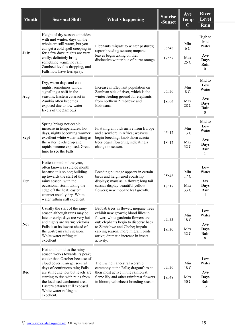| <b>Month</b> | <b>Seasonal Shift</b>                                                                                                                                                                                                                                                                                                                                     | <b>What's happening</b>                                                                                                                                                                                                                                                               | <b>Sunrise</b><br>/Sunset | Ave<br><b>Temp</b><br>$\mathbf C$ | <b>River</b><br><b>Level</b><br>Rain                             |
|--------------|-----------------------------------------------------------------------------------------------------------------------------------------------------------------------------------------------------------------------------------------------------------------------------------------------------------------------------------------------------------|---------------------------------------------------------------------------------------------------------------------------------------------------------------------------------------------------------------------------------------------------------------------------------------|---------------------------|-----------------------------------|------------------------------------------------------------------|
| July         | Height of dry season coincides<br>with mid winter: days on the<br>whole are still warm, but you<br>can get a cold spell creeping in<br>for a few days; nights are very<br>chilly; definitely bring<br>something warm; no rain.<br>Zambezi level is dropping, and<br>Falls now have less spray.                                                            | Elephants migrate to winter pastures;<br>raptor breeding season; mopane<br>leaves begin taking on their<br>distinctive winter hue of burnt orange.                                                                                                                                    | 06h48<br>17h57            | Min<br>6 C<br>Max<br>25 C         | High to<br>Mid<br>Water<br>Ave<br>Days<br>Rain<br>$\theta$       |
| Aug          | Dry, warm days and cool<br>nights; sometimes windy,<br>signalling a shift in the<br>seasons; Eastern cataract in<br>Zambia often becomes<br>exposed due to low water<br>levels of the Zambezi                                                                                                                                                             | Increase in Elephant population on<br>Zambian side of river, which is the<br>winter feeding ground for elephants<br>from northern Zimbabwe and<br>Botswana.                                                                                                                           | 06h36<br>18h06            | Min<br>8 C<br>Max<br>28 C         | Mid to<br>Low<br>Water<br>Ave<br><b>Days</b><br>Rain<br>$\theta$ |
| <b>Sept</b>  | Spring brings noticeable<br>increase in temperatures; hot<br>days, nights becoming warmer;<br>excellent white water rafting as<br>the water levels drop and<br>rapids become exposed. Great<br>time to see the Falls.                                                                                                                                     | First migrant bids arrive from Europe<br>and elsewhere in Africa; weavers<br>begin breeding; knob thorn acacia<br>trees begin flowering indicating a<br>change in season.                                                                                                             | 06h12<br>18h12            | Min<br>13 C<br>Max<br>32 C        | Mid to<br>Low<br>Water<br>Ave<br>Days<br>Rain<br>1               |
| Oct          | Hottest month of the year,<br>often known as suicide month<br>because it is so hot; building<br>up towards the start of the<br>rainy season, with the<br>occasional storm taking the<br>edge off the heat; eastern<br>cataract usually dry. White<br>water rafting still excellent.                                                                       | Breeding plumage appears in certain<br>birds and heightened courtship<br>displays; marulas in flower; long tail<br>cassias display beautiful yellow<br>flowers; new mopane leaf growth.                                                                                               | 05h48<br>18h17            | Min<br>17C<br>Max<br>33 C         | Low<br>Water<br>Ave<br><b>Days</b><br>Rain<br>$\overline{4}$     |
| <b>Nov</b>   | Usually the start of the rainy<br>season although rains may be<br>late or early; days are very hot<br>and nights are warm; Victoria<br>Falls is at its lowest ahead of<br>the upstream rainy season.<br>White water rafting still<br>excellent                                                                                                            | Baobab trees in flower; mopane trees<br>exhibit new growth; blood lilies in<br>flower; white gardenia flowers are<br>out; elephants begin to disperse back<br>to Zimbabwe and Chobe; impala<br>calving season; more migrant birds<br>arrive; dramatic increase in insect<br>activity. | 05h33<br>18h30            | Min<br>18 C<br>Max<br>32 C        | Low<br>Water<br>Ave<br><b>Days</b><br>Rain<br>8                  |
| Dec          | Hot and humid as the rainy<br>season works towards its peak;<br>cooler than October because of<br>cloud cover; Can get several<br>days of continuous rain; Falls<br>are still quite low but levels are<br>starting to rise with rains from<br>the localised catchment area.<br>Eastern cataract still exposed.<br>White water rafting still<br>excellent. | The Lwindii ancestral worship<br>ceremony at the Falls; dragonflies at<br>their most active in the rainforest;<br>flame lily and other rainforest flowers<br>in bloom; wildebeest breeding season                                                                                     | 05h36<br>18h48            | Min<br>18 C<br>Max<br>30 C        | Low<br>Water<br>Ave<br>Days<br>Rain<br>13                        |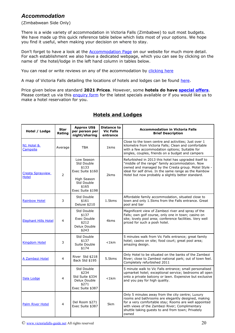## <span id="page-19-0"></span>*Accommodation*

(Zimbabwean Side Only)

There is a wide variety of accommodation in Victoria Falls (Zimbabwe) to suit most budgets. We have made up this quick reference table below which lists most of your options. We hope you find it useful, when making your decision on where to stay.

Don't forget to have a look at the **Accommodation Page** on our website for much more detail. For each establishment we also have a dedicated webpage, which you can see by clicking on the name of the hotel/lodge in the left hand column in tables below.

You can read or write reviews on any of the accommodation by [clicking here](http://www.victoriafalls-guide.net/victoria-falls-accommodation-reviews.html)

A map of Victoria Falls detailing the locations of hotels and lodges can be found [here.](http://www.victoriafalls-guide.net/map-victoria-falls.html)

Price given below are standard **2021 Prices**. However, some **hotels do have [special offers](http://www.victoriafalls-guide.net/victoria-falls-specials.html)**. Please contact us via this [enquiry form](http://www.victoriafalls-guide.net/booking-enquiry-form.html) for the latest specials available or if you would like us to make a hotel reservation for you.

| Hotel / Lodge                           | <b>Star</b><br>Rating | <b>Approx US\$</b><br>per person per<br>night/sharing                                                           | <b>Distance to</b><br><b>Vic Falls</b><br>entrance | <b>Accommodation in Victoria Falls</b><br><b>Brief Description</b>                                                                                                                                                                                                               |
|-----------------------------------------|-----------------------|-----------------------------------------------------------------------------------------------------------------|----------------------------------------------------|----------------------------------------------------------------------------------------------------------------------------------------------------------------------------------------------------------------------------------------------------------------------------------|
| N1 Hotel &<br>Campsite                  | Average               | <b>TBA</b>                                                                                                      | 1 <sub>kms</sub>                                   | Close to the town centre and activities; Just over 1<br>kilometre from Victoria Falls; Clean and comfortable<br>with a few accommodation options; Suitable for<br>singles, couples, friends on a budget and campers                                                              |
| <b>Cresta Sprayview</b><br><b>Hotel</b> | $\overline{2}$        | Low Season<br>Std Double<br>\$133<br>Exec Suite \$160<br>High Season<br>Std Double<br>\$165<br>Exec Suite \$198 | 2 <sub>kms</sub>                                   | Refurbished in 2013 this hotel has upgraded itself to<br>"middle of the range" family accommodation. Now<br>owned and managed by the Cresta group. Motel Style -<br>ideal for self drive. In the same range as the Rainbow<br>Hotel but now probably a slightly better standard. |
| <b>Rainbow Hotel</b>                    | 3                     | Std Double<br>\$161<br>Deluxe \$210                                                                             | $1.5$ kms                                          | Affordable family accommodation, situated close to<br>town and only 1.5kms from the Falls entrance. Great<br>pool and bar                                                                                                                                                        |
| <b>Elephant Hills Hotel</b>             | 4                     | Std Double<br>\$137<br>Exec Double<br>\$212<br>Delux Double<br>\$243                                            | 4kms                                               | Magnificent view of Zambezi river and spray of the<br>Falls; own golf course, only one in town; casino on<br>site; lovely pool area; conference facilities. Very well<br>priced for such a posh hotel.                                                                           |
| Kingdom Hotel                           | 3                     | Std Double<br>\$137<br>Suite Double<br>\$174                                                                    | $<$ 1 $km$                                         | 5 minutes walk from Vic Falls entrance; great family<br>hotel; casino on site; food court; great pool area;<br>amazing design.                                                                                                                                                   |
| A Zambezi Hotel                         | 4                     | River Std \$218<br>Back Std \$195                                                                               | 5.5kms                                             | Only Hotel to be situated on the banks of the Zambezi<br>River; close to Zambezi national park; out of town feel.<br>Completely refurbished 2011                                                                                                                                 |
| Ilala Lodge                             | 4                     | Std Double<br>\$234<br>Std Suite \$334<br>Delux Double<br>\$271<br>Exec Suite \$387                             | $<$ 1 $km$                                         | 5 minute walk to Vic Falls entrance; small personalised<br>upmarket hotel; exceptional service; bedrooms all open<br>onto a private balcony or lawn. Expensive but exclusive<br>and you pay for high quality.                                                                    |
| <b>Palm River Hotel</b>                 | 4                     | Del Room \$271<br>Exec Suite \$387                                                                              | 5km                                                | Only 5 minutes away from the city centre; Luxury<br>rooms and bathrooms are elegantly designed, making<br>for a very comfortable stay; Rooms are well appointed<br>with views of the Zambezi River; Complimentary<br>shuttle taking guests to and from town; Privately<br>owned  |

## **Hotels and Lodges**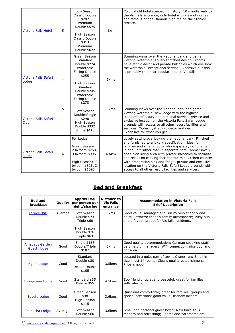| <b>Victoria Falls Hotel</b>            | 5 | Low Season<br>Classic Double<br>\$287<br>Premium<br>Double \$575<br>High Season<br>Classic Double<br>\$313<br>Premium<br>Double \$622                             | 1km   | Colonial old hotel steeped in history; 10 minute walk to<br>the Vic Falls entrance; only hotel with view of gorges<br>and famous bridge; famous high tea on the Stanley<br>terrace.                                                                                                                                                                                                                                                                                                                                                     |
|----------------------------------------|---|-------------------------------------------------------------------------------------------------------------------------------------------------------------------|-------|-----------------------------------------------------------------------------------------------------------------------------------------------------------------------------------------------------------------------------------------------------------------------------------------------------------------------------------------------------------------------------------------------------------------------------------------------------------------------------------------------------------------------------------------|
| Victoria Falls Safari<br>Lodge         | 4 | Green Season<br>Standard<br>Double \$224<br>Waterhole<br>Facing Double<br>\$255<br>High Season<br>Standard<br>Double \$245<br>Waterhole<br>Facing Double<br>\$278 | 5kms  | Stunning views over the National park and game<br>viewing waterhole; Lovely thatched design - rooms<br>have ethnic decor and private balconies which overlook<br>the waterhole; exceptional service. Expensive but this<br>is probably the most popular hotel in Vic falls.                                                                                                                                                                                                                                                             |
| Victoria Falls Safari<br><b>Club</b>   | 5 | Low Season<br>Double/Single<br>\$298<br>High Season<br>Double \$332<br>Single \$415                                                                               | 5kms  | Stunning views over the National park and game<br>viewing waterhole; new lodge with the highest<br>standards of luxury and personal service; private and<br>exclusive location on the Victoria Falls Safari Lodge<br>grounds with access to all other resort facilities and<br>services. Modern yet ethnic decor and design.<br>Expensive for what you get.                                                                                                                                                                             |
| Victoria Falls Safari<br><b>Suites</b> | 4 | Per Lodge<br>Green Season:<br>2 b/room \$750,<br>3 b/room \$995<br>High Season: 2<br>b/room \$825, 3<br>b/room \$1095                                             | 4.6km | Lovely setting overlooking the national park; Finished<br>and furnished to a luxury specification; ideal for<br>families and small groups who enjoy staying together<br>in one unit rather than in separate hotel rooms; lovely<br>open plan living area with private balconies to socialise<br>and relax; no cooking facilities but mini kitchen counter<br>with preparation sink and fridge; private and exclusive<br>location on the Victoria Falls Safari Lodge grounds with<br>access to all other resort facilities and services. |

## **Bed and Breakfast**

| <b>Bed and</b><br><b>Breakfast</b>          | <b>Quality</b> | <b>Approx US\$</b><br>per person per<br>night/sharing | <b>Distance to</b><br><b>Vic Falls</b><br>entrance | <b>Accommodation in Victoria Falls</b><br><b>Brief Description</b>                                                                                          |
|---------------------------------------------|----------------|-------------------------------------------------------|----------------------------------------------------|-------------------------------------------------------------------------------------------------------------------------------------------------------------|
| Lorries B&B                                 | Average        | Low Season<br>Double \$73<br>Triple \$60              | 3 <sub>kms</sub>                                   | Good value; managed and run by very friendly and<br>helpful owners; friendly family atmosphere; lively pub<br>and a favourite spot for Vic falls residents. |
|                                             |                | High Season<br>Double \$76<br>Triple \$63             |                                                    |                                                                                                                                                             |
| <b>Amadeus Garden</b><br><b>Guest House</b> | Good           | Single \$158<br>Double/Triple<br>\$107                | 3 <sub>kms</sub>                                   | Good quality accommodation: German speaking staff;<br>very helpful managers; WiFi connection; nice pool and<br>bar area.                                    |
| Nguni Lodge                                 | Good           | Standard<br>Double \$80<br>Deluxe Double<br>\$105     | 3.5kms                                             | Located in a quiet part of town; Owner run; Small in<br>size - just 14 rooms; Clean, quality establishment;<br>Price is good                                |
| Livingstone Lodge                           | Good           | Standard \$35<br>Deluxe \$55                          | 4.5kms                                             | Eco-friendly, quiet and peaceful, great for families,<br>self-catering                                                                                      |
| <b>Bayete Lodge</b>                         | Good           | Green Season<br>\$98<br>High Season<br>\$115          | 3.6kms                                             | Quiet and comfortable; great for families, groups and<br>special occasions; good value; friendly owners                                                     |
| Pamusha Lodge                               | Average        | Low Season<br>Double \$60                             | $3.6$ kms                                          | Small and personal quest lodge; New build so is<br>modern and refreshing; Rooms and bathrooms are                                                           |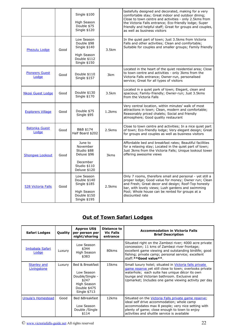|                                |      | Single \$100<br>High Season<br>Double \$75<br>Single \$120                                |                  | tastefully designed and decorated, making for a very<br>comfortable stay; Great indoor and outdoor dining;<br>Close to town centre and activities - only 2.5kms from<br>the Victoria Falls entrance; Eco-friendly lodge; Super<br>friendly and helpful staff; Great for groups and couples,<br>as well as business visitors |
|--------------------------------|------|-------------------------------------------------------------------------------------------|------------------|-----------------------------------------------------------------------------------------------------------------------------------------------------------------------------------------------------------------------------------------------------------------------------------------------------------------------------|
| Phezulu Lodge                  | Good | Low Season<br>Double \$98<br>Single \$140<br>High Season<br>Double \$112<br>Single \$150  | 3.5km            | In the quiet part of town; Just 3.5kms from Victoria<br>Falls and other activities; Clean and comfortable;<br>Suitable for couples and smaller groups; Family friendly                                                                                                                                                      |
| <b>Pioneers Guest</b><br>Lodge | Good | Double \$110<br>Single \$157                                                              | 3km              | Located in the heart of the quiet residential area; Close<br>to town centre and activities - only 3kms from the<br>Victoria Falls entrance; Owner-run, personalised<br>service; Great for all types of visitors                                                                                                             |
| <b>Nkosi Guest Lodge</b>       | Good | Double \$130<br>Single \$170                                                              | 3.5km            | Located in a quiet park of town; Elegant, clean and<br>spacious; Family-friendly; Owner-run; Just 3.5kms<br>from the Victoria Falls                                                                                                                                                                                         |
| <b>Explorers Village</b>       | Good | Double \$75<br>Single \$95                                                                | 1.2kms           | Very central location, within minutes' walk of most<br>attractions in town; Clean, modern and comfortable;<br>Reasonably priced chalets; Social and friendly<br>atmosphere; Good quality restaurant                                                                                                                         |
| <b>Batonka Guest</b><br>Lodge  | Good | B&B \$174<br>Half Board \$202                                                             | 2.5kms           | Close to town centre and activities; In a nice quiet part<br>of town; Eco-friendly lodge; Very elegant design; Great<br>for groups and couples as well as business visitors                                                                                                                                                 |
| <b>Shongwe Lookout</b>         | Good | June to<br>November<br>Studio \$88<br>Deluxe \$96<br>December                             | 3 <sub>kms</sub> | Affordable bed and breakfast rates; Beautiful facilities<br>for a relaxing stay; Located in the quiet part of town;<br>Just 3kms from the Victoria Falls; Unique lookout tower<br>offering awesome views                                                                                                                    |
|                                |      | Studio \$110<br>Deluxe \$120                                                              |                  |                                                                                                                                                                                                                                                                                                                             |
| <b>528 Victoria Falls</b>      | Good | Low Season<br>Double \$140<br>Single \$185<br>High Season<br>Double \$150<br>Single \$195 | 2.5kms           | Only 7 rooms, therefore small and personal - yet still a<br>proper lodge; Good value for money; Owner run; Clean<br>and Fresh; Great decor and design; Roof-Top honesty<br>bar, with lovely views; Lush gardens and swimming<br>Pool; Whole house can be rented for groups at a<br>discounted rate                          |

## **Out of Town Safari Lodges**

| Safari Lodges                     | <b>Quality</b> | <b>Approx US\$</b><br>per person per<br>night/sharing                                                    | Distance to<br><b>Vic Falls</b><br>entrance | <b>Accommodation in Victoria Falls</b><br><b>Brief Description</b>                                                                                                                                                                                                          |
|-----------------------------------|----------------|----------------------------------------------------------------------------------------------------------|---------------------------------------------|-----------------------------------------------------------------------------------------------------------------------------------------------------------------------------------------------------------------------------------------------------------------------------|
| Imbabala Safari<br>Lodge          | Luxury         | Low Season<br>\$344<br>High Season<br>\$383                                                              | 80kms                                       | Situated right on the Zambezi river; 4000 acre private<br>concession; 11 kms of Zambezi river frontage;<br>excellent game viewing and outstanding birdlife; good<br>fishing; private camp; personal service; excellent<br>staff: ** Good value **.                          |
| <b>Stanley and</b><br>Livingstone | Luxury         | Bed & Breakfast<br>Low Season<br>Double/Single -<br>\$247<br>High Season<br>Double \$475<br>Single \$713 | 15kms                                       | Small luxury hotel; situated in Victoria falls private<br>game reserve yet still close to town; overlooks private<br>waterhole; each suite has unique décor its own<br>lounge and Victorian bathroom. Exclusive and<br>Upmarket; Includes one game viewing activity per day |
| <b>Ursula's Homestead</b>         | Good           | Bed &Breakfast<br>Low Season<br>Double /Single<br>\$114                                                  | 12kms                                       | Situated on the Victoria Falls private game reserve;<br>ideal self drive accommodation; whole camp<br>accommodates max 8 people; very nice setting with<br>plenty of game; close enough to town to enjoy<br>activities and shuttle service is available                     |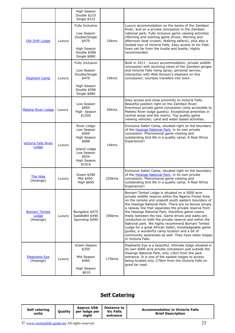|                                           |        | High Season<br>Double \$210<br>Single \$315                                                                                |                   |                                                                                                                                                                                                                                                                                                                                                                                                                                                                                                                                                                                                                                                                                              |
|-------------------------------------------|--------|----------------------------------------------------------------------------------------------------------------------------|-------------------|----------------------------------------------------------------------------------------------------------------------------------------------------------------------------------------------------------------------------------------------------------------------------------------------------------------------------------------------------------------------------------------------------------------------------------------------------------------------------------------------------------------------------------------------------------------------------------------------------------------------------------------------------------------------------------------------|
| Old Drift Lodge                           | Luxury | Fully Inclusive<br>Low Season<br>Double/Single<br>\$470<br>High Season<br>Double \$586<br>Single \$880                     | 10kms             | Luxury accommodation on the banks of the Zambezi<br>River, and on a private concession in the Zambezi<br>national park; Fully inclusive game viewing activities<br>(Morning and evening game drives; Morning and<br>afternoon boat cruises; Walking safaris), plus also a<br>Guided tour of Victoria Falls; Easy access to Vic Falls<br>town yet far from the hustle and bustle; Highly<br>recommended                                                                                                                                                                                                                                                                                       |
| <b>Elephant Camp</b>                      | Luxury | Fully Inclusive<br>Low Season<br>Double/Single<br>\$470<br>High Season<br>Double \$586<br>Single \$880                     | 10 <sub>kms</sub> | Built in 2011 - luxury accommodation; private wildlife<br>concession with stunning views of the Zambezi gorges<br>and Victoria Falls rising spray; personal service;<br>interaction with Wild Horizon's elephant on this<br>concession; courtesy transfers into town.                                                                                                                                                                                                                                                                                                                                                                                                                        |
| <b>Matetsi River Lodge</b>                | Luxury | Low Season<br>\$850<br>High Season<br>\$1200                                                                               | 45kms             | Easy access and close proximity to Victoria Falls;<br>Beautiful position right on the Zambezi River;<br>Enormous private game concession (only accessible to<br>Matetsi River lodge guests); Exceptional amenities in<br>central areas and the rooms; Top quality game<br>viewing vehicles; Land and water based activities.                                                                                                                                                                                                                                                                                                                                                                 |
| <b>Victoria Falls River</b><br>Lodge      | Luxury | River Lodge<br>Low Season<br>\$560<br>High Season<br>\$688<br>Island Lodge<br>Low Season<br>\$924<br>High Season<br>\$1016 | 14kms             | Exclusive Safari Camp, situated right on the boundary<br>of the Hwange National Park, in its own private<br>concession. Phenomenal game viewing and<br>outstanding bird life in a quality camp. A Real Africa<br>Experience!!                                                                                                                                                                                                                                                                                                                                                                                                                                                                |
| The Hide<br>(Hwange)                      | Luxury | Green \$390<br>Mid \$495<br>High \$695                                                                                     | 220kms            | Exclusive Safari Camp, situated right on the boundary<br>of the Hwange National Park, in its own private<br>concession. Phenomenal game viewing and<br>outstanding bird life in a quality camp. A Real Africa<br>Experience!!                                                                                                                                                                                                                                                                                                                                                                                                                                                                |
| <b>Bomani Tented</b><br>Lodge<br>(Hwange) | Luxury | Bungalow \$475<br>SaddleBill \$490<br>Spurwing \$490                                                                       | 190kms            | Bomani Tented Lodge is situated on a 5000 acre<br>private wildlife reserve within the Ngamo Forest Area<br>on the remote and unspoilt south eastern boundary of<br>the Hwange National Park. There are no fences simply<br>a railway line that separates the private reserve from<br>the Hwange National Park, therefore game roams<br>freely between the two. Game drives and walks are<br>conducted on both the private reserve and within the<br>National park. We highly recommend Bomani Tented<br>Lodge for a great African Safari, knowledgeable game<br>guides, a wonderful camp location and a bit of<br>community awareness as well. They have sister lodges<br>in Victoria Falls. |
| <b>Elephants Eye</b><br>(Hwange)          | Luxury | Green Season<br>\$350<br>Mid Season<br>\$485<br>High Season<br>\$610                                                       | 175kms            | Elephants Eye is a beautiful, intimate lodge situated in<br>its own 6000 acre private concession just outside the<br>Hwange National Park, only 13km from the park<br>entrance. It is one of the easiest lodges to access<br>being located only 175km from the Victoria Falls on<br>good tar road.                                                                                                                                                                                                                                                                                                                                                                                           |

# **Self Catering**

| Self catering<br>units | <b>Ouality</b> | <b>Approx US\$</b><br>per lodge per<br>niaht | Distance to<br><b>Vic Falls</b><br>entrance | <b>Accommodation in Victoria Falls</b><br><b>Brief Description</b> |
|------------------------|----------------|----------------------------------------------|---------------------------------------------|--------------------------------------------------------------------|
|------------------------|----------------|----------------------------------------------|---------------------------------------------|--------------------------------------------------------------------|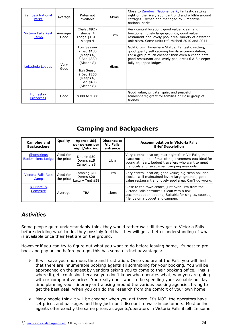| Zambezi National<br>Parks            | Average          | Rates not<br>available                                                                                                                        | 6 <sub>kms</sub> | Close to <b>Zambezi National park</b> ; fantastic setting<br>right on the river; abundant bird and wildlife around<br>cottages. Owned and managed by Zimbabwe<br>national parks.                                                          |
|--------------------------------------|------------------|-----------------------------------------------------------------------------------------------------------------------------------------------|------------------|-------------------------------------------------------------------------------------------------------------------------------------------------------------------------------------------------------------------------------------------|
| <b>Victoria Falls Rest</b><br>Camp   | Average/<br>Good | Chalet \$92 -<br>sleeps 4<br>Lodge \$161 -<br>sleeps 4                                                                                        | 1 <sub>km</sub>  | Very central location; good value; clean and<br>functional, lovely large grounds, good value<br>restaurant and lovely pool area. Variety of different<br>unit sizes. Some units refurbished 2010 and 2011                                 |
| Lokuthula Lodges                     | Very<br>Good     | Low Season<br>2 Bed \$185<br>(sleeps 6)<br>3 Bed \$330<br>(Sleeps 8)<br>High Season<br>2 Bed \$250<br>(sleeps 6)<br>3 Bed \$435<br>(Sleeps 8) | 6 <sub>kms</sub> | Gold Crown Timeshare Status; Fantastic setting;<br>good quality self catering family accommodation;<br>For a group much cheaper than even a cheap hotel;<br>good restaurant and lovely pool area; 6 & 8 sleeper<br>fully equipped lodges. |
| <b>Homestay</b><br><b>Properties</b> | Good             | \$300 to \$500                                                                                                                                |                  | Good value; private; quiet and peaceful<br>atmosphere; great for families or close group of<br>friends.                                                                                                                                   |

## **Camping and Backpackers**

| <b>Camping and</b><br><b>Backpackers</b>       | <b>Quality</b>        | <b>Approx US\$</b><br>per person per<br>night/sharing | Distance to<br><b>Vic Falls</b><br>entrance | <b>Accommodation in Victoria Falls</b><br><b>Brief Description</b>                                                                                                                                                         |
|------------------------------------------------|-----------------------|-------------------------------------------------------|---------------------------------------------|----------------------------------------------------------------------------------------------------------------------------------------------------------------------------------------------------------------------------|
| <b>Shoestrings</b><br><b>Backpackers Lodge</b> | Good for<br>the price | Double \$30<br>Dorms \$15<br>Camping \$8              | 1 <sub>km</sub>                             | Very central location; best nightlife in Vic Falls, this<br>place rocks; lots of musicians, drummers etc; ideal for<br>young at heart, budget travellers who want to meet<br>the locals and rave; small camping area only. |
| <b>Victoria Falls Rest</b><br>Camp             | Good for<br>the price | Camping \$11<br>Dorms \$20<br>Luxury Tent \$58        | 1km                                         | Very central location; good value; big clean ablution<br>blocks; well maintained lovely large grounds; good<br>value restaurant and lovely pool area. Can't go wrong.                                                      |
| N1 Hotel &<br>Campsite                         | Average               | TBA                                                   | 1 <sub>kms</sub>                            | Close to the town centre, just over 1km from the<br>Victoria Falls entrance; Clean with a few<br>accommodation options; Suitable for singles, couples,<br>friends on a budget and campers                                  |

## <span id="page-23-0"></span>*Activities*

Some people quite understandably think they would rather wait till they get to Victoria Falls before deciding what to do, they possibly feel that they will get a better understanding of what is available once their feet are on the ground.

However if you can try to figure out what you want to do before leaving home, it's best to prebook and pay online before you go, this has some distinct advantages:-

- $\triangleright$  It will save you enormous time and frustration. Once you are at the Falls you will find that there are innumerable booking agents all scrambling for your booking. You will be approached on the street by vendors asking you to come to their booking office. This is where it gets confusing because you don't know who operates what, who you are going with or comparative prices. You really don't want to be spending your valuable holiday time planning your itinerary or traipsing around the various booking agencies trying to get the best deal. When you can do the research from the comfort of your own home.
- ➢ Many people think it will be cheaper when you get there. It's NOT, the operators have set prices and packages and they just don't discount to walk-in customers. Most online agents offer exactly the same prices as agents/operators in Victoria Falls itself. In some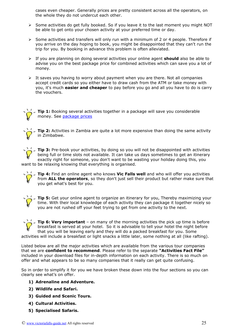cases even cheaper. Generally prices are pretty consistent across all the operators, on the whole they do not undercut each other.

- ➢ Some activities do get fully booked. So if you leave it to the last moment you might NOT be able to get onto your chosen activity at your preferred time or day.
- ➢ Some activities and transfers will only run with a minimum of 2 or 4 people. Therefore if you arrive on the day hoping to book, you might be disappointed that they can't run the trip for you. By booking in advance this problem is often alleviated.
- ➢ If you are planning on doing several activities your online agent **should** also be able to advise you on the best package price for combined activities which can save you a lot of money.
- $\triangleright$  It saves you having to worry about payment when you are there. Not all companies accept credit cards so you either have to draw cash from the ATM or take money with you, it's much **easier and cheaper** to pay before you go and all you have to do is carry the vouchers.





<span id="page-24-0"></span>**Tip 2:** Activities in Zambia are quite a lot more expensive than doing the same activity in Zimbabwe.

**Tip 3:** Pre-book your activities, by doing so you will not be disappointed with activities being full or time slots not available. It can take us days sometimes to get an itinerary exactly right for someone, you don't want to be wasting your holiday doing this, you want to be relaxing knowing that everything is organised.

**Tip 4:** Find an online agent who knows **Vic Falls well** and who will offer you activities from **ALL the operators**, so they don't just sell their product but rather make sure that you get what's best for you.



**Tip 5:** Get your online agent to organize an itinerary for you, Thereby maximizing your time. With their local knowledge of each activity they can package it together nicely so you are not rushed off your feet trying to get from one activity to the next.

**Tip 6: Very important** – on many of the morning activities the pick up time is before breakfast is served at your hotel. So it is advisable to tell your hotel the night before that you will be leaving early and they will do a packed breakfast for you. Some activities will include a breakfast or light snacks a little later, some nothing at all (like rafting).

Listed below are all the major activities which are available from the various tour companies that we are **confident to recommend**. Please refer to the separate **"Activities Fact File"** included in your download files for in-depth information on each activity. There is so much on offer and what appears to be so many companies that it really can get quite confusing.

So in order to simplify it for you we have broken these down into the four sections so you can clearly see what's on offer.

- **1) Adrenaline and Adventure.**
- **2) Wildlife and Safari.**
- **3) Guided and Scenic Tours.**
- **4) Cultural Activities.**
- **5) Specialised Safaris.**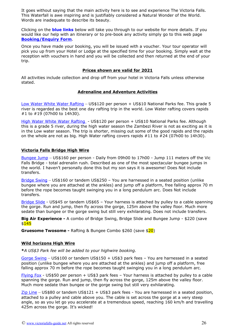It goes without saying that the main activity here is to see and experience The Victoria Falls. This Waterfall is awe inspiring and is justifiably considered a Natural Wonder of the World. Words are inadequate to describe its beauty.

Clicking on the **blue links** below will take you through to our website for more details. If you would like our help with an itinerary or to pre-book any activity simply go to this web page **[Booking/Enquiry Form](http://www.victoriafalls-guide.net/booking-enquiry-form.html)**.

Once you have made your booking, you will be issued with a voucher. Your tour operator will pick you up from your Hotel or Lodge at the specified time for your booking. Simply wait at the reception with vouchers in hand and you will be collected and then returned at the end of your trip.

#### **Prices shown are valid for 2021**

All activities include collection and drop off from your hotel in Victoria Falls unless otherwise stated.

#### <span id="page-25-0"></span>**Adrenaline and Adventure Activities**

[Low Water White Water Rafting](http://www.victoriafalls-guide.net/victoria-falls-white-water-rafting.html) – US\$120 per person + US\$10 National Parks fee. This grade 5 river is regarded as the best one day rafting trip in the world. Low Water rafting covers rapids #1 to #19 (07h00 to 14h30).

[High Water White Water Rafting](http://www.victoriafalls-guide.net/victoria-falls-white-water-rafting.html) - US\$120 per person + US\$10 National Parks fee. Although this is a grade 5 river, during the high water season the Zambezi River is not as exciting as it is in the Low water season. The trip is shorter, missing out some of the good rapids and the rapids on the whole are not as big. High Water rafting covers rapids #11 to #24 (07h00 to 14h30).

#### **Victoria Falls Bridge High Wire**

[Bungee Jump](http://www.victoriafalls-guide.net/bungee-jumping.html) – US\$160 per person - Daily from 09h00 to 17h00 - Jump 111 meters off the Vic Falls Bridge - total adrenalin rush. Described as one of the most spectacular bungee jumps in the world. I haven't personally done this but my son says it is awesome! Does Not include transfers.

[Bridge Swing](https://www.victoriafalls-guide.net/victoria-falls-bridge-activities.html#bridge-swing) – US\$160 or tandem US\$250 – You are harnessed in a seated position (unlike bungee where you are attached at the ankles) and jump off a platform, free falling approx 70 m before the rope becomes taught swinging you in a long pendulum arc. Does Not include transfers.

[Bridge Slide](https://www.victoriafalls-guide.net/victoria-falls-bridge-activities.html#bridge-slide) - US\$45 or tandem US\$65 – Your harness is attached by pulley to a cable spanning the gorge. Run and jump, then fly across the gorge, 125m above the valley floor. Much more sedate than bungee or the gorge swing but still very exhilarating. Does not include transfers.

**Big Air Experience -** A combo of Bridge Swing, Bridge Slide and Bungee Jump - \$220 (save  $$145$ 

**Gruesome Twosome -** Rafting & Bungee Combo \$260 (save \$20)

#### **Wild horizons High Wire**

**\****A US\$3 Park fee will be added to your highwire booking.*

[Gorge Swing](http://www.victoriafalls-guide.net/high-wire.html) – US\$100 or tandem US\$150 + US\$3 park fees – You are harnessed in a seated position (unlike bungee where you are attached at the ankles) and jump off a platform, free falling approx 70 m before the rope becomes taught swinging you in a long pendulum arc.

[Flying Fox](http://www.victoriafalls-guide.net/high-wire.html) - US\$50 per person + US\$3 park fees - Your harness is attached by pulley to a cable spanning the gorge. Run and jump, then fly across the gorge, 125m above the valley floor. Much more sedate than bungee or the gorge swing but still very exhilarating.

[Zip Line](http://www.victoriafalls-guide.net/high-wire.html) – US\$80 or tandem US\$121 + US\$3 park fees - You are harnessed in a seated position, attached to a pulley and cable above you. The cable is set across the gorge at a very steep angle, so as you let go you accelerate at a tremendous speed, reaching 160 km/h and travelling 425m across the gorge. It's wicked!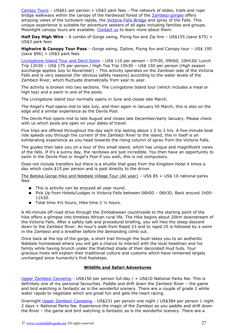[Canopy Tours](http://www.victoriafalls-guide.net/victoria-falls-canopy-tour.html) – US\$61 per person + US\$3 park fees - The network of slides, trails and rope bridge walkways within the canopy of the hardwood forest of the [Zambezi gorges](http://www.victoriafalls-guide.net/gorge.html) offers amazing views of the turbulent rapids, the [Victoria Falls Bridge](http://www.victoriafalls-guide.net/victoria-falls-bridge.html) and spray of the Falls. This unique experience is suitable for adventure seekers of all ages including families and groups. Moonlight canopy tours are available. [Contact us](http://www.victoriafalls-guide.net/contact-us.html) to learn more about them.

**Half Day High Wire** – A combo of Gorge swing, Flying fox and Zip line – US\$155 (save \$75) + US\$3 park fees

**Highwire & Canopy Tour Pass** – Gorge swing, Zipline, Flying fox and Canopy tour – US\$ 195  $(save $96) + US $3$  park fees

[Livingstone Island Tour and Devil Swim](http://www.victoriafalls-guide.net/devils-pool.html) – US\$ 110 per person – 07h30, 09h00, 10hh30/ Lunch Trip 12h30 – US\$ 175 per person / High Tea Trip 15h30 – US\$ 150 per person (High season surcharge applies July to November) – This activity operates on the Zambian side of the Victoria Falls and is very seasonal (for obvious safety reasons) according to the water levels of the Zambezi River, which fluctuate dramatically from year to year.

The activity is broken into two sections. The Livingstone Island tour (which includes a meal or high tea) and a swim in one of the pools.

The Livingstone island tour normally opens in June and closes late March.

The Angel's Pool opens mid to late July, and then again in January till March, this is also on the edge and a similar experience as the Devils Pool.

The Devils Pool opens mid to late August and closes late December/early January. Please check with us which pools are open on your dates of travel.

Five trips are offered throughout the day each trip lasting about 1.5 to 2 hrs. A five-minute boat ride speeds you through the current of the Zambezi River to the island, this in itself is an exhilarating experience as you head towards the rising column of spray from the Victoria Falls.

The guides then take you on a tour of this small island, which has unique and magnificent views of the falls. If it's a sunny day, the rainbows are just incredible. You then have an opportunity to swim in the Devils Pool or Angel's Pool if you wish, this is not compulsory.

Does not include transfers but there is a shuttle that goes from the Kingdom Hotel 4 times a day which costs \$15 per person and is paid directly to the driver.

The Batoka Gorge Hike and Ndebele Village Tour (All year) – US\$ 85 + US\$ 10 national parks fees

- This is activity can be enjoyed all year round.
- Pick Up from Hotels/Lodges in Victoria Falls between 06h00 06h30; Back around 1h00- 11h30.
- Total time 4½ hours; Hike time 2 ½ hours.

A 40-minute off-road drive through the Zimbabwean countryside to the starting point of the hike offers a glimpse into timeless African rural life. The Hike begins about 20km downstream of the Victoria Falls. After a safety talk and procedural briefing, you will hike the steep descent down to the Zambezi River. An hour's walk from Rapid 23 and to rapid 25 is followed by a swim in the Zambezi and a breather before the demanding climb out.

Once back at the top of the gorge, a short trail through the bush takes you to an authentic Ndebele homestead where you will get a chance to interact with the local headman and his family while having brunch under the thatched shade of their decorated mud huts. Your gracious hosts will explain their traditional culture and customs which have remained largely unchanged since humanity's first footsteps.

#### <span id="page-26-0"></span>**Wildlife and Safari Adventures**

[Upper Zambezi Canoeing](http://www.victoriafalls-guide.net/victoria-falls-canoeing.html) - US\$150 per person full day / + US\$10 National Parks fee. This is definitely one of my personal favourites. Paddle and drift down the Zambezi River – the game and bird watching is fantastic as is the wonderful scenery. There are a couple of grade 2 white water rapids to negotiate which are great fun and gets the heart racing.

Overnight [Upper Zambezi Canoeing](http://www.victoriafalls-guide.net/victoria-falls-canoeing.html) – US\$231 per person one night / US\$384 per person 1 night 2 days + National Parks fee. Experience the magic of the Zambezi as you paddle and drift down the River – the game and bird watching is fantastic as is the wonderful scenery. There are a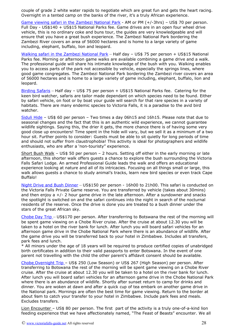couple of grade 2 white water rapids to negotiate which are great fun and gets the heart racing. Overnight in a tented camp on the banks of the river, it's a truly African experience.

[Game viewing safari in the Zambezi National Park](http://www.victoriafalls-guide.net/guided-photographic-safaris.html) - AM or PM (+/-3hrs) – US\$ 70 per person. Full Day - US\$140 + US\$15 National Parks fee. Game drives are in an open four wheel drive vehicle, this is no ordinary coke and buns tour, the guides are very knowledgeable and will ensure that you have a great bush experience. The Zambezi National Park bordering the Zambezi River covers an area of 56000 hectares and is home to a large variety of game including, elephant, buffalo, lion and leopard.

[Walking safari in the Zambezi National Park](http://www.victoriafalls-guide.net/guided-photographic-safaris.html) – Half day – US\$ 75 per person + US\$15 National Parks fee. Morning or afternoon game walks are available combining a game drive and a walk. The professional guide will share his intimate knowledge of the bush with you. Walking enables you to access parts of the park not accessible by vehicle, especially the springs lines, where good game congregates. The Zambezi National Park bordering the Zambezi river covers an area of 56000 hectares and is home to a large variety of game including, elephant, buffalo, lion and leopard.

[Birding Safaris](http://www.victoriafalls-guide.net/guided-photographic-safaris.html) - Half day - US\$ 75 per person + US\$15 National Parks fee. Catering for the keen bird watcher, safaris are tailor made dependant on which species need to be found. Either by safari vehicle, on foot or by boat your guide will search for that rare species in a variety of habitats. There are many endemic species to Victoria Falls, it is a paradise to the avid bird watcher.

[Siduli Hide](http://www.victoriafalls-guide.net/siduli-hide.html) – US\$ 60 per person – Two times a day 06h15 and 16h15. Please note that due to seasonal changes and the fact that this is an authentic wild experience, we cannot guarantee wildlife sightings. Saying this, the drier it gets, the more chance there is of having some very good close up encounters! Time spent in the hide will vary, but we sell it as a minimum of a two hour sit. Further points to consider: Guests must be able to sit quietly for long periods of time and should not suffer from claustrophobia! This activity is ideal for photographers and wildlife enthusiasts, who are after a 'non-touristy" experience.

Short Bush Walk – US\$ 50 per person – 2 hours. Setting off either in the early morning or late afternoon, this shorter walk offers guests a chance to explore the bush surrounding the Victoria Falls Safari Lodge. An armed Professional Guide leads the walk and offers an educational experience looking at nature and all of its intricacies. Focusing on all things small or large, this walk allows guests a chance to study animal's tracks, learn new bird species or even track Cape Buffalo!

[Night Drive and Bush Dinner](file:///C:/Users/Faniso/OneDrive%20-%20victoriafalls-guide.net/Shared%20Documents/C:%5CUsers%5CTony%5CAppData%5CLocal%20Settings%5Cwww.victoriafalls-guide.net%5CV3-package%5CAJ%20Fluid%5Cnight-drive.html) – US\$150 per person - 16h00 to 21h00. This safari is conducted on the Victoria Falls Private Game reserve. You are transferred by vehicle (takes about 30mins) and then enjoy  $a +/2$  hour game drive in the late afternoon. After a sundowner and snacks the spotlight is switched on and the safari continues into the night in search of the nocturnal residents of the reserve. Once the drive is done you are treated to a bush dinner under the stars of the great African sky.

 [Chobe](http://www.victoriafalls-guide.net/Chobe-day-trip.html) [Day Trip](http://www.victoriafalls-guide.net/Chobe-day-trip.html) – US\$170 per person. After transferring to Botswana the rest of the morning will be spent game viewing on a Chobe River cruise. After the cruise at about 12.30 you will be taken to a hotel on the river bank for lunch. After lunch you will board safari vehicles for an afternoon game drive in the Chobe National Park where there is an abundance of wildlife. After the game drive you will be transferred back to your hotel in Zimbabwe. Includes all transfers, park fees and lunch.

\* All minors under the age of 18 years will be required to produce certified copies of unabridged birth certificates in addition to their valid passports to enter Botswana. In the event of one parent not travelling with the child the other parent's affidavit consent should be available.

 [Chobe](http://www.victoriafalls-guide.net/Chobe-day-trip.html) [Overnight Trip –](http://www.victoriafalls-guide.net/Chobe-day-trip.html) US\$ 250 (Low Season) or US\$ 267 (High Season) per person. After transferring to Botswana the rest of the morning will be spent game viewing on a Chobe River cruise. After the cruise at about 12.30 you will be taken to a hotel on the river bank for lunch. After lunch you will board safari vehicles for an afternoon game drive in the Chobe National Park where there is an abundance of wildlife. Shortly after sunset return to camp for drinks and dinner. You are woken at dawn and after a quick cup of tea embark on another game drive in the National park. Mornings are often the best time for game viewing. Return to the border at about 9am to catch your transfer to your hotel in Zimbabwe. Include park fees and meals. Excludes transfers.

Lion Encounter – US\$ 80 per person. The first part of the activity is a truly one-of-a-kind lion feeding experience that we have affectionately named, "The Feast of Beasts" encounter. We all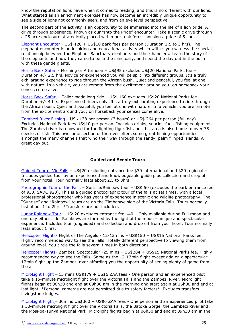know the reputation lions have when it comes to feeding, and this is no different with our lions. What started as an enrichment exercise has now become an incredibly unique opportunity to see a side of lions not commonly seen, and from an eye level perspective.

The second part of the activity is an opportunity to be immersed into the life of a lion pride. A drive through experience, known as our "Into the Pride" encounter. Take a scenic drive through a 25 acre enclosure strategically placed within our teak forest housing a pride of 5 lions.

[Elephant Encounter](https://www.victoriafalls-guide.net/elephant-encounter.html) - US\$ 120 + US\$10 park fees per person (Duration 2.5 to 3 hrs). The elephant encounter is an inspiring and educational activity which will let you witness the special relationship between the Elephant Sanctuary elephants and their handlers. Learn the story of the elephants and how they came to be in the sanctuary, and spend the day out in the bush with these gentle giants.

[Horse Back Safari](http://www.victoriafalls-guide.net/african-horse-safari.html) - Morning or Afternoon – US\$95 excludes US\$20 National Parks fee – Duration +/- 2.5 hrs. Novice or experienced you will be split into different groups. It's a truly exhilarating experience to ride through the African bush. Quiet and peaceful, you feel at one with nature. In a vehicle, you are remote from the excitement around you; on horseback your senses come alive.

Horse Back Safari - Tailor made long ride - US\$ 160 excludes US\$20 National Parks fee -Duration +/- 4 hrs. Experienced riders only. It's a truly exhilarating experience to ride through the African bush. Quiet and peaceful, you feel at one with nature. In a vehicle, you are remote from the excitement around you; on horseback your senses come alive.

[Zambezi River Fishing](http://www.victoriafalls-guide.net/fishing-on-the-zambezi.html) – US\$ 138 per person (3 hours) or US\$ 264 per person (full day) - Excludes National Park fees US\$10 per person. Includes drinks, snacks, fuel, fishing equipment. The Zambezi river is renowned for the fighting tiger fish, but this area is also home to over 75 species of fish. This awesome section of the river offers some great fishing opportunities amongst the many channels that wind their way through the sandy, palm fringed islands. A great day out.

#### <span id="page-28-0"></span>**Guided and Scenic Tours**

 [Guided Tour of Vic Falls](file:///C:/Users/Faniso/OneDrive%20-%20victoriafalls-guide.net/Shared%20Documents/%5C%5CTONY-HP%5CUsers%5CTony%5CAppData%5CLocal%20Settings%5CTemporary%20Internet%20Files%5Cwww.victoriafalls-guide.net%5CV3-package%5CAJ%20Fluid%5Ctour-of-victoria-falls.html) – US\$20 excluding entrance fee \$30 international and \$20 regional – Includes guided tour by an experienced and knowledgeable guide plus collection and drop off from your hotel. Tour normally lasts about 2.5 to 3hrs

[Photographic Tour of the Falls](http://www.victoriafalls-guide.net/photographic-tour-of-the-falls.html) – Sunrise/Rainbow tour – US\$ 50 (excludes the park entrance fee of \$30, SADC \$20). This is a guided photographic tour of the falls at set times, with a local professional photographer who has years of experience in scenic and wildlife photography. The "Sunrise" and "Rainbow" tours are on the Zimbabwe side of the Victoria Falls. Tours normally last about 1 to 2hrs. \*Transfers are not included.

[Lunar Rainbow Tour](http://www.victoriafalls-guide.net/lunar-rainbow.html) – US\$20 excludes entrance fee \$40 – Only available during Full moon and one day either side. Rainbows are formed by the light of the moon - unique and spectacular experience. Includes tour (unguided) and collection and drop off from your hotel. Tour normally lasts about 1 hrs.

[Helicopter Flights-](http://www.victoriafalls-guide.net/victoria-falls-helicopter.html) Flight of The Angels - 12-13mins – US\$150 + US\$15 National Parks fee. Highly recommended way to see the Falls. Totally different perspective to viewing them from ground level. You circle the falls several times in both directions

[Helicopter Flights-](http://www.victoriafalls-guide.net/victoria-falls-helicopter.html) Zambezi Spectacular -25 mins - US\$284 + US\$15 National Parks fee. Highly recommended way to see the Falls. Same as the 12-13min flight except add on a spectacular 12min flight up the Zambezi river affording you the opportunity of seeing plenty of game from the air.

[MicroLight Flight](http://www.victoriafalls-guide.net/victoria-falls-microlight.html) – 15 mins US\$179 + US\$6 ZAA fees - One person and an experienced pilot take a 15-minute microlight flight over the Victoria Falls and the Zambezi River. Microlight flights begin at 06h30 and end at 09h30 am in the morning and start again at 15h00 and end at last light. \*Personal cameras are not permitted due to safety factors\*. Excludes transfers Livingstone lodges.

 [MicroLight Flight](http://www.victoriafalls-guide.net/victoria-falls-microlight.html) – 30mins US\$360 + US\$6 ZAA fees - One person and an experienced pilot take a 30-minute microlight flight over the Victoria Falls, the Batoka Gorge, the Zambezi River and the Mosi-oa-Tunya National Park. Microlight flights begin at 06h30 and end at 09h30 am in the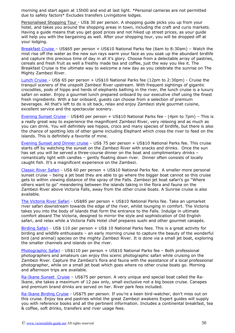morning and start again at 15h00 and end at last light. \*Personal cameras are not permitted due to safety factors\* Excludes transfers Livingstone lodges.

Personalised Shopping Tour - US\$ 30 per person. A shopping guide picks you up from your hotel, and takes you around the shopping areas in town, including the craft and curio markets. Having a guide means that you get good prices and not hiked up street prices, as your guide will help you with the bargaining as well. After your shopping tour, you will be dropped off at your lodging.

[Breakfast Cruise –](http://www.victoriafalls-guide.net/zambezi-explorer.html) US\$65 per person + US\$10 National Parks fee (6am to 8:30am) – Watch the mist rise off the water as the new sun rays warm your face as you soak up the abundant birdlife and capture this precious time of day in all it's glory. Choose from a delectable array of pastries, cereals and fresh fruit as well a freshly made tea and coffee, just the way you like it. The Breakfast Cruise is the ultimate way to welcome a new day as you celebrate the sunrise on The Mighty Zambezi River.

[Lunch Cruise –](http://www.victoriafalls-guide.net/zambezi-explorer.html) US\$ 65 per person + US\$10 National Parks fee (12pm to 2:30pm) - Cruise the tranquil scenery of the unspoilt Zambezi River upstream. With frequent sightings of gigantic crocodiles, pods of hippo and herds of elephants bathing in the river, the lunch cruise is a luxury safari on water. Enjoy a gourmet lunch prepared onboard by our executive chef using the finest fresh ingredients. With a bar onboard, guests can choose from a selection of premium beverages. All that's left to do is sit back, relax and enjoy Zambezi style gourmet cuisine, excellent service and the spectacular scenery.

[Evening Sunset Cruise](http://www.victoriafalls-guide.net/zambezi-river-cruise.html) – US\$40 per person + US\$10 National Parks fee - (4pm to 7pm) – This is a really great way to experience the magnificent Zambezi River, very relaxing and as much as you can drink. You will definitely see hippos, crocs and many species of birdlife, but there is also the chance of spotting lots of other game including Elephant which cross the river to feed on the islands. This is definitely a favorite of mine.

[Evening Sunset and Dinner cruise](http://www.victoriafalls-guide.net/zambezi-dinner-cruise.html) – US\$ 75 per person + US\$10 National Parks fee. This cruise starts off by watching the sunset on the Zambezi River with snacks and drinks. Once the sun has set you will be served a three-course dinner on the boat and complimentary drinks – romantically light with candles – gently floating down river. Dinner often consists of locally caught fish. It's a magnificent experience on the Zambezi.

[Classic River Safari](http://www.victoriafalls-guide.net/victoria-falls-jetboat.html) – US\$ 60 per person + US\$10 National Parks fee. A smaller more personal sunset cruise – being a jet boat they are able to go where the bigger boat cannot so this cruise gets to within viewing distance of the spray of the Falls. Zambezi jet boat safari's go "Where others want to go" meandering between the islands taking in the flora and fauna on the Zambezi River above Victoria Falls, away from the other cruise boats. A Sunrise cruise is also available.

[The Victoria River Safari](http://www.victoriafalls-guide.net/victoria-falls-jetboat.html#The_Victoria) - US\$85 per person + US\$10 National Parks fee. Take an upmarket river safari downstream towards the edge of the river, whilst lounging in comfort. The Victoria takes you into the body of islands that form the entrance to the Falls. Indulge in ultimate comfort aboard The Victoria, designed to mirror the style and sophistication of Old English safari, and relax while a Victoria Falls Hotel chef prepares sushi and other gourmet canapés.

[Birding Safari](http://www.victoriafalls-guide.net/victoria-falls-birding-safari.html) – US\$ 110 per person  $+$  US\$ 10 National Parks fees. This is a great activity for birding and wildlife enthusiasts – an early morning cruise to capture the beauty of the wonderful bird (and animal) species on the mighty Zambezi River. It is done via a small jet boat, exploring the smaller channels and islands on the river.

[Photographic Safari](http://www.victoriafalls-guide.net/victoria-falls-photographic-safari.html) – US\$110 per person + US\$10 National Parks fee – Both professional photographers and amateurs can enjoy this scenic photographic safari while cruising on the Zambezi River. Capture the Zambezi's flora and fauna with the assistance of a local professional photographer, while on a small jet boat which goes where no other cruise boats go. Morning and afternoon trips are available.

[Ra-Ikane Sunset Cruise](https://www.victoriafalls-guide.net/ra-ikane.html) – US\$75 per person. A very unique and special boat called the Ra-Ikane, she takes a maximum of 12 pax only, small exclusive not a big booze cruise. Canapes and premium brand drinks are served on her. River park fees included.

[Ra-Ikane Birding Cruise](https://www.victoriafalls-guide.net/ra-ikane.html) - US\$75 per person. If you're a keen bird-watcher, don't miss out on this cruise. Enjoy tea and pastries whilst the great Zambezi awakens Expert guides will supply you with reference books and all the pertinent information. Includes a continental breakfast, tea & coffee, soft drinks, transfers and river usage fees.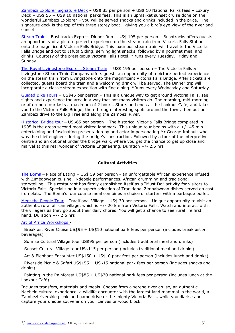[Zambezi Explorer Signature Deck](http://www.victoriafalls-guide.net/zambezi-explorer.html) - US\$ 85 per person + US\$ 10 National Parks fees - Luxury Deck – US\$ 55 + US\$ 10 national parks fees. This is an upmarket sunset cruise done on the wonderful Zambezi Explorer – you will be served snacks and drinks included in the price. The signature deck is the top of this three storey boat – giving you a bird's eye view of the river and sunset.

[Steam Train](http://www.victoriafalls-guide.net/steam-train-trips.html) - Bushtracks Express Dinner Run - US\$ 195 per person - Bushtracks offers guests an opportunity of a picture perfect experience on the steam train from Victoria Falls Station onto the magnificent Victoria Falls Bridge. This luxurious steam train will travel to the Victoria Falls Bridge and out to Jafuta Siding, serving light snacks, followed by a gourmet meal and drinks. Courtesy of the prestigious Victoria Falls Hotel. \*Runs every Tuesday, Friday and Sunday.

[The Royal Livingstone Express Steam Train](https://www.victoriafalls-guide.net/steam-train.html) - US\$ 195 per person - The Victoria Falls & Livingstone Steam Train Company offers guests an opportunity of a picture perfect experience on the steam train from Livingstone onto the magnificent Victoria Falls Bridge. After tickets are collected, guests board the train and a welcoming drink will be served. The Dinner trip will incorporate a classic steam expedition with fine dining. \*Runs every Wednesday and Saturday.

[Guided Bike Tours](http://www.victoriafalls-guide.net/victoria-falls-bike-tour.html) – US\$45 per person - This is a unique way to get around Victoria Falls, see sights and experience the area in a way that not many visitors do. The morning, mid-morning or afternoon tour lasts a maximum of 2 hours. Starts and ends at the Lookout Cafe, and takes you to the Victoria Falls Bridge, then through interesting spots around the town, then out on Zambezi drive to the Big Tree and along the Zambezi River.

[Historical Bridge tour](http://www.victoriafalls-guide.net/victoria-falls-bridge-tour.html) - US\$65 per person - The historical Victoria Falls Bridge completed in 1905 is the areas second most visited landmark. This unique tour begins with a  $+/-$  45 min entertaining and fascinating presentation by and actor impersonating Mr George Imbault who was the chief engineer during the bridge's construction. Followed by a tour of the interpretive centre and an optional under the bridge walk, where you get the chance to get up close and marvel at this real wonder of Victoria Engineering. Duration +/- 2.5 hrs

#### <span id="page-30-0"></span>**Cultural Activities**

[The Boma](http://www.victoriafalls-guide.net/the-boma.html) – Place of Eating – US\$ 59 per person - an unforgettable African experience infused with Zimbabwean cuisine. Ndebele performances, African drumming and traditional storytelling. This restaurant has firmly established itself as a "Must Do" activity for visitors to Victoria Falls. Specializing in a superb selection of Traditional Zimbabwean dishes served on cast iron plats. The Boma's four course meal combines a choice of starters with a barbeque buffet.

[Meet the People Tour](http://www.victoriafalls-guide.net/craft-village-in-victoria-falls.html) – Traditional Village – US\$ 30 per person – Unique opportunity to visit an authentic rural african village, which is +/- 20 km from Victoria Falls. Watch and interact with the villagers as they go about their daily chores. You will get a chance to see rural life first hand. Duration +/- 2.5 hrs

#### [Art of Africa Workshops -](http://www.victoriafalls-guide.net/art-of-africa.html)

· Breakfast River Cruise US\$95 + US\$10 national park fees per person (includes breakfast & beverages)

- · Sunrise Cultural Village tour US\$95 per person (includes traditional meal and drinks)
- · Sunset Cultural Village tour US\$115 per person (includes traditional meal and drinks)
- · Art & Elephant Encounter US\$150 + US\$10 park fees per person (includes lunch and drinks)

· Riverside Picnic & Safari US\$155 + US\$15 national park fees per person (includes snacks and drinks)

· Painting in the Rainforest US\$85 + US\$30 national park fees per person (includes lunch at the Lookout Café)

Includes transfers, materials and meals. Choose from a serene river cruise, an authentic Ndebele cultural experience, a wildlife encounter with the largest land mammal in the world, a Zambezi riverside picnic and game drive or the mighty Victoria Falls, while you diarise and capture your unique souvenir on your canvas or wood block.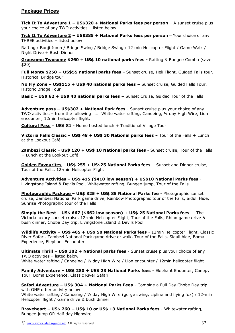### <span id="page-31-0"></span>**Package Prices**

**Tick It To Adventure 1 – US\$320 + National Parks fees per person** – A sunset cruise plus your choice of any TWO activities – listed below

**Tick It To Adventure 2 – US\$385 + National Parks fees per person** – Your choice of any THREE activities – listed below

Rafting / Bunji Jump / Bridge Swing / Bridge Swing / 12 min Helicopter Flight / Game Walk / Night Drive + Bush Dinner

**Gruesome Twosome \$260 + US\$ 10 national parks fees -** Rafting & Bungee Combo (save \$20)

**Full Monty \$250 + US\$55 national parks fees** – Sunset cruise, Heli Flight, Guided Falls tour, Historical Bridge tour

**No Fly Zone – US\$115 + US\$ 40 national parks fees –** Sunset cruise, Guided Falls Tour, Historic Bridge Tour

**Basic – US\$ 62 + US\$ 40 national parks fees –** Sunset Cruise, Guided Tour of the Falls

**Adventure pass – US\$302 + National Park fees** - Sunset cruise plus your choice of any TWO activities – from the following list: White water rafting, Canoeing, ½ day High Wire, Lion encounter, 12min helicopter flight.

**Cultural Pass** – **US\$ 81** - Home hosted lunch + Traditional Village Tour

**Victoria Falls Classic** – **US\$ 48 + US\$ 30 National parks fees** – Tour of the Falls + Lunch at the Lookout Café

**Zambezi Classic** – **US\$ 120 + US\$ 10 National parks fees** - Sunset cruise, Tour of the Falls + Lunch at the Lookout Café

**Golden Favourites – US\$ 255 + US\$25 National Parks fees –** Sunset and Dinner cruise, Tour of the Falls, 12-min Helicopter Flight

**Adventure Activities – US\$ 415 (\$410 low season) + US\$10 National Parks fees** - Livingstone Island & Devils Pool, Whitewater rafting, Bungee jump, Tour of the Falls

 **Photographic Package – US\$ 325 + US\$ 85 National Parks fee** - Photographic sunset cruise, Zambezi National Park game drive, Rainbow Photographic tour of the Falls, Siduli Hide, Sunrise Photographic tour of the Falls

**Simply the Best – US\$ 667 (\$662 low season) + US\$ 25 National Parks fees –** The Victoria luxury sunset cruise, 12-min Helicopter Flight, Tour of the Falls, Rhino game drive & bush dinner, Chobe Day trip, Livingstone Island & Devils Pool

**Wildlife Activity – US\$ 465 + US\$ 50 National Parks fees** - 12min Helicopter Flight, Classic River Safari, Zambezi National Park game drive or walk, Tour of the Falls, Siduli hide, Boma Experience, Elephant Encounter

**Ultimate Thrill – US\$ 302 + National parks fees** - Sunset cruise plus your choice of any TWO activities – listed below White water rafting / Canoeing / 1/2 day High Wire / Lion encounter / 12min helicopter flight

**Family Adventure – US\$ 280 + US\$ 23 National Parks fees** - Elephant Enounter, Canopy Tour, Boma Experience, Classic River Safari

**Safari Adventure – US\$ 304 + National Parks Fees** - Combine a Full Day Chobe Day trip with ONE other activity below: White water rafting / Canoeing / 1/2 day High Wire (gorge swing, zipline and flying fox) / 12-min Helicopter flight / Game drive & bush dinner

**Braveheart – US\$ 260 + US\$ 10 or US\$ 13 National Parks fees** - Whitewater rafting, Bungee jump OR Half day Highwire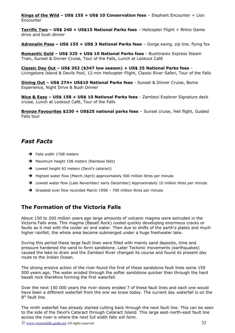**Kings of the Wild – US\$ 155 + US\$ 10 Conservation fees** – Elephant Encounter + Lion Encounter

**Terrific Two – US\$ 240 + US\$15 National Parks fees** – Helicopter Flight + Rhino Game drive and bush dinner

**Adrenalin Pass – US\$ 155 + US\$ 3 National Parks fees** – Gorge swing, zip line, flying fox

**Romantic Gold – US\$ 325 + US\$ 10 National Parks fees** - Bushtracks Express Steam Train, Sunset & Dinner Cruise, Tour of the Falls, Lunch at Lookout Café

**Classic Day Out – US\$ 352 (\$347 low season) + US\$ 25 National Parks fees** - Livingstone Island & Devils Pool, 12-min Helicopter Flight, Classic River Safari, Tour of the Falls

**Dining Out – US\$ 274+ US\$10 National Parks fees** - Sunset & Dinner Cruise, Boma Experience, Night Drive & Bush Dinner

**Nice & Easy – US\$ 158 + US\$ 10 National Parks fees** - Zambezi Explorer Signature deck cruise, Lunch at Lookout Café, Tour of the Falls

**Bronze Favourites \$230 + US\$25 national parks fees** – Sunset cruise, Heli flight, Guided Falls tour

## <span id="page-32-1"></span>*Fast Facts*

- ➔ Falls width 1708 meters
- **→** Maximum height 108 meters (Rainbow falls)
- → Lowest height 62 meters (Devil's cataract)
- → Highest water flow (March /April) approximately 500 million litres per minute
- → Lowest water flow (Late November/ early December) Approximately 10 million litres per minute
- ➔ Greatest ever flow recorded March 1958 700 million litres per minute

## <span id="page-32-0"></span>**The Formation of the Victoria Falls**

About 150 to 200 million years ago large amounts of volcanic magma were extruded in the Victoria Falls area. This magma (Basalt Rock) cooled quickly developing enormous cracks or faults as it met with the cooler air and water. Then due to shifts of the earth's plates and much higher rainfall, the whole area became submerged under a huge freshwater lake.

During this period these large fault lines were filled with mainly sand deposits, time and pressure hardened the sand to form sandstone. Later Tectonic movements (earthquakes) caused the lake to drain and the Zambezi River changed its course and found its present day route to the Indian Ocean.

The strong erosive action of the river found the first of these sandstone fault lines some 150 000 years ago. The water eroded through the softer sandstone quicker than through the hard basalt rock therefore forming the first waterfall.

Over the next 150 000 years the river slowly eroded 7 of these fault lines and each one would have been a different waterfall from the one we know today. The current day waterfall is on the 8<sup>th</sup> fault line.

The ninth waterfall has already started cutting back through the next fault line. This can be seen to the side of the Devil's Cataract through Cataract Island. This large east-north-east fault line across the river is where the next full width falls will form.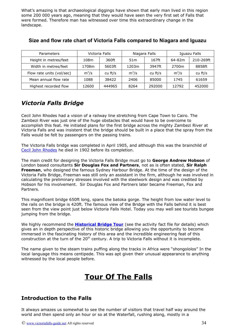What's amazing is that archaeological diggings have shown that early man lived in this region some 200 000 years ago, meaning that they would have seen the very first set of Falls that were formed. Therefore man has witnessed over time this extraordinary change in the landscape.

| <b>Parameters</b>         | Victoria Falls |         | Niagara Falls   |         | Iguazu Falls |           |
|---------------------------|----------------|---------|-----------------|---------|--------------|-----------|
| Height in metres/feet     | 108m           | 360ft   | 51 <sub>m</sub> | 167ft   | 64-82m       | 210-269ft |
| Width in metres/feet      | 1708m          | 5603ft  | 1203m           | 3947ft  | 2700m        | 8858ft    |
| Flow rate units (vol/sec) | $m^3/s$        | cu ft/s | $m^3/s$         | cu ft/s | $m^3/s$      | cu ft/s   |
| Mean annual flow rate     | 1088           | 38422   | 2406            | 85000   | 1745         | 61659     |
| Highest recorded flow     | 12600          | 444965  | 8264            | 292000  | 12792        | 452000    |

## <span id="page-33-3"></span>**Size and flow rate chart of Victoria Falls compared to Niagara and Iguazu**

## <span id="page-33-2"></span>*Victoria Falls Bridge*

Cecil John Rhodes had a vision of a railway line stretching from Cape Town to Cairo. The Zambezi River was just one of the huge obstacles that would have to be overcome to accomplish this feat. He initiated plans for the first bridge across the mighty Zambezi River at Victoria Falls and was insistent that the bridge should be built in a place that the spray from the Falls would be felt by passengers on the passing trains.

The Victoria Falls bridge was completed in April 1905, and although this was the brainchild of [Cecil John Rhodes](http://www.victoriafalls-guide.net/cecil-rhodes.html) he died in 1902 before its completion.

The main credit for designing the Victoria Falls Bridge must go to **George Andrew Hobson** of London based consultants **Sir Douglas Fox and Partners**, not as is often stated, **Sir Ralph Freeman**, who designed the famous Sydney Harbour Bridge. At the time of the design of the Victoria Falls Bridge, Freeman was still only an assistant in the firm, although he was involved in calculating the preliminary stresses involved with the steelwork design and was credited by Hobson for his involvement. Sir Douglas Fox and Partners later became Freeman, Fox and Partners.

This magnificent bridge 650ft long, spans the batoka gorge. The height from low water level to the rails on the bridge is 420ft. The famous view of the Bridge with the Falls behind it is best seen from the view point just below Victoria Falls Hotel. Today you may well see tourists bungee jumping from the bridge.

We highly recommend the **[Historical Bridge Tour](http://www.victoriafalls-guide.net/victoria-falls-bridge-tour.html)** (see the activity fact file for details) which gives an in depth perspective of this historic bridge allowing you the opportunity to become immersed in the fascinating history of this area and the incredible engineering feat of this construction at the turn of the 20<sup>th</sup> century. A trip to Victoria Falls without it is incomplete.

The name given to the steam trains puffing along the tracks in Africa were "shongololos" In the local language this means centipede. This was apt given their unusual appearance to anything witnessed by the local people before.

# <span id="page-33-1"></span>**Tour Of The Falls**

## <span id="page-33-0"></span>**Introduction to the Falls**

It always amazes us somewhat to see the number of visitors that travel half way around the world and then spend only an hour or so at the Waterfall, rushing along, mostly in a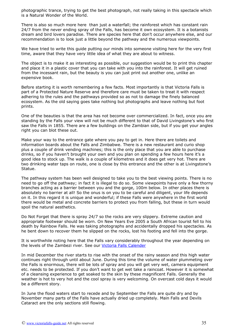photographic trance, trying to get the best photograph, not really taking in this spectacle which is a Natural Wonder of the World.

There is also so much more here than just a waterfall; the rainforest which has constant rain 24/7 from the never ending spray of the Falls, has become it own ecosystem. It is a botanists dream and bird lovers paradise. There are species here that don't occur anywhere else, and our recommendation is to look just a little beyond the pathway and the numerous viewpoints.

We have tried to write this guide putting our minds into someone visiting here for the very first time, aware that they have very little idea of what they are about to witness.

The object is to make it as interesting as possible, our suggestion would be to print this chapter and place it in a plastic cover that you can take with you into the rainforest. It will get ruined from the incessant rain, but the beauty is you can just print out another one, unlike an expensive book.

Before starting it is worth remembering a few facts. Most importantly is that Victoria Falls is part of a Protected Nature Reserve and therefore care must be taken to treat it with respect adhering to the rules and the pathways provided so as not to damage the finely balanced ecosystem. As the old saying goes take nothing but photographs and leave nothing but foot prints.

One of the beauties is that the area has not become over commercialized. In fact, once you are standing by the Falls your view will not be much different to that of David Livingstone's who first saw the Falls in 1855. There are a few buildings on the Zambian side, but if you get your angles right you can blot these out.

Make your way to the entrance gate where you pay to get in. Here there are toilets and information boards about the Falls and Zimbabwe. There is a new restaurant and curio shop plus a couple of drink vending machines; this is the only place that you are able to purchase drinks, so if you haven't brought your own and you plan on spending a few hours here it's a good idea to stock up. The walk is a couple of kilometres and it does get very hot. There are two drinking water taps on route, one is close by this entrance and the other is at Livingstone's Statue.

The pathway system has been well designed to take you to the best viewing points. There is no need to go off the pathway; in fact it is illegal to do so. Some viewpoints have only a few thorny branches acting as a barrier between you and the gorge, 100m below. In other places there is absolutely no barrier at all! So the onus is on you to be careful and diligent, your life depends on it. In this regard it is unique and wonderful; if these Falls were anywhere in the first world there would be metal and concrete barriers to protect you from falling, but these in turn would spoil the natural aesthetics.

Do Not Forget that there is spray 24/7 so the rocks are very slippery. Extreme caution and appropriate footwear should be worn. On New Years Eve 2005 a South African tourist fell to his death by Rainbow Falls. He was taking photographs and accidentally dropped his spectacles. As he bent down to recover them he slipped on the rocks, lost his footing and fell into the gorge.

It is worthwhile noting here that the Falls vary considerably throughout the year depending on the levels of the Zambezi river. See our [Victoria Falls Calender](#page-17-0)

In mid December the river starts to rise with the onset of the rainy season and this high water continues right through until about June. During this time the volume of water plummeting over the Falls is enormous, there will be lots of spray and you will get very wet, camera equipment etc. needs to be protected. If you don't want to get wet take a raincoat. However it is somewhat of a cleansing experience to get soaked to the skin by these magnificent Falls. Generally the weather is hot to very hot and the cool spray is very welcoming. On overcast cold days it would be a different story.

In June the flood waters start to recede and by September the Falls are quite dry and by November many parts of the Falls have actually dried up completely. Main Falls and Devils Cataract are the only sections still flowing.